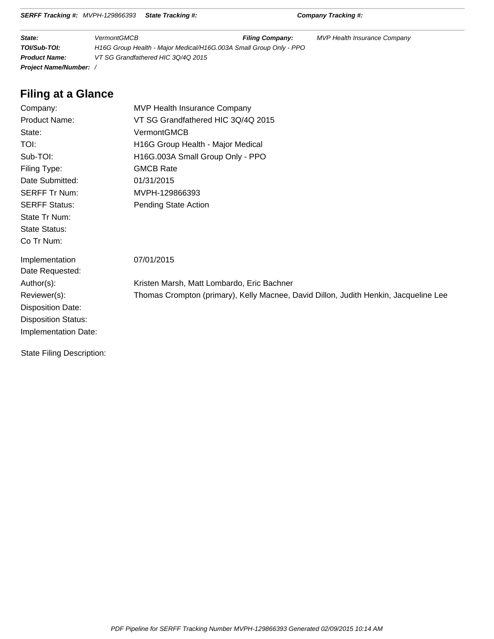|  | SERFF Tracking #: MVPH-129866393 State Tracking #: |  |
|--|----------------------------------------------------|--|
|--|----------------------------------------------------|--|

**SERFF Tracking #:** Company Tracking #:

| State:                      | <b>VermontGMCB</b>                                                 | <b>Filing Company:</b> | <b>MVP Health Insurance Company</b> |
|-----------------------------|--------------------------------------------------------------------|------------------------|-------------------------------------|
| TOI/Sub-TOI:                | H16G Group Health - Major Medical/H16G.003A Small Group Only - PPO |                        |                                     |
| <b>Product Name:</b>        | VT SG Grandfathered HIC 30/40 2015                                 |                        |                                     |
| <b>Project Name/Number:</b> |                                                                    |                        |                                     |

# **Filing at a Glance**

| Company:                         | <b>MVP Health Insurance Company</b>                                                  |
|----------------------------------|--------------------------------------------------------------------------------------|
| <b>Product Name:</b>             | VT SG Grandfathered HIC 3Q/4Q 2015                                                   |
| State:                           | VermontGMCB                                                                          |
| TOI:                             | H16G Group Health - Major Medical                                                    |
| Sub-TOI:                         | H16G.003A Small Group Only - PPO                                                     |
| Filing Type:                     | <b>GMCB Rate</b>                                                                     |
| Date Submitted:                  | 01/31/2015                                                                           |
| <b>SERFF Tr Num:</b>             | MVPH-129866393                                                                       |
| <b>SERFF Status:</b>             | Pending State Action                                                                 |
| State Tr Num:                    |                                                                                      |
| <b>State Status:</b>             |                                                                                      |
| Co Tr Num:                       |                                                                                      |
| Implementation                   | 07/01/2015                                                                           |
| Date Requested:                  |                                                                                      |
| Author(s):                       | Kristen Marsh, Matt Lombardo, Eric Bachner                                           |
| Reviewer(s):                     | Thomas Crompton (primary), Kelly Macnee, David Dillon, Judith Henkin, Jacqueline Lee |
| <b>Disposition Date:</b>         |                                                                                      |
| <b>Disposition Status:</b>       |                                                                                      |
| Implementation Date:             |                                                                                      |
| <b>State Filing Description:</b> |                                                                                      |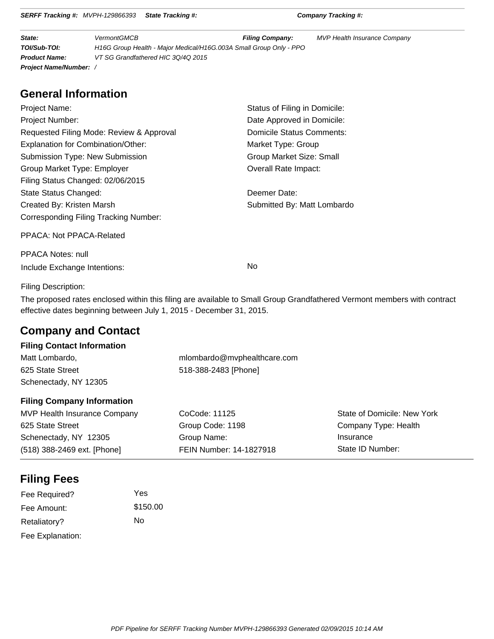|  | <b>SERFF Tracking #: MVPH-129866393 State Tracking #:</b> |  |
|--|-----------------------------------------------------------|--|
|--|-----------------------------------------------------------|--|

**SERFF Tracking #:** Company Tracking #:

| State:                        | <b>VermontGMCB</b>                                                 | <b>Filing Company:</b> | MVP Health Insurance Company |
|-------------------------------|--------------------------------------------------------------------|------------------------|------------------------------|
| TOI/Sub-TOI:                  | H16G Group Health - Major Medical/H16G.003A Small Group Only - PPO |                        |                              |
| <b>Product Name:</b>          | VT SG Grandfathered HIC 30/40 2015                                 |                        |                              |
| <b>Project Name/Number:</b> / |                                                                    |                        |                              |

# **General Information**

| Project Name:                                | Status of Filing in Domicile: |
|----------------------------------------------|-------------------------------|
| <b>Project Number:</b>                       | Date Approved in Domicile:    |
| Requested Filing Mode: Review & Approval     | Domicile Status Comments:     |
| Explanation for Combination/Other:           | Market Type: Group            |
| Submission Type: New Submission              | Group Market Size: Small      |
| Group Market Type: Employer                  | Overall Rate Impact:          |
| Filing Status Changed: 02/06/2015            |                               |
| State Status Changed:                        | Deemer Date:                  |
| Created By: Kristen Marsh                    | Submitted By: Matt Lombardo   |
| <b>Corresponding Filing Tracking Number:</b> |                               |
| PPACA: Not PPACA-Related                     |                               |
| <b>PPACA Notes: null</b>                     |                               |
| Include Exchange Intentions:                 | No                            |

Filing Description:

The proposed rates enclosed within this filing are available to Small Group Grandfathered Vermont members with contract effective dates beginning between July 1, 2015 - December 31, 2015.

# **Company and Contact**

## **Filing Contact Information**

| Matt Lombardo,        | mlombardo@mvphealthcare.com |
|-----------------------|-----------------------------|
| 625 State Street      | 518-388-2483 [Phone]        |
| Schenectady, NY 12305 |                             |

### **Filing Company Information**

| MVP Health Insurance Company | CoCode: 11125           | State of Domicile: New York |
|------------------------------|-------------------------|-----------------------------|
| 625 State Street             | Group Code: 1198        | Company Type: Health        |
| Schenectady, NY 12305        | Group Name:             | Insurance                   |
| (518) 388-2469 ext. [Phone]  | FEIN Number: 14-1827918 | State ID Number:            |

# **Filing Fees**

| Fee Required?    | Yes      |
|------------------|----------|
| Fee Amount:      | \$150.00 |
| Retaliatory?     | N٥       |
| Fee Explanation: |          |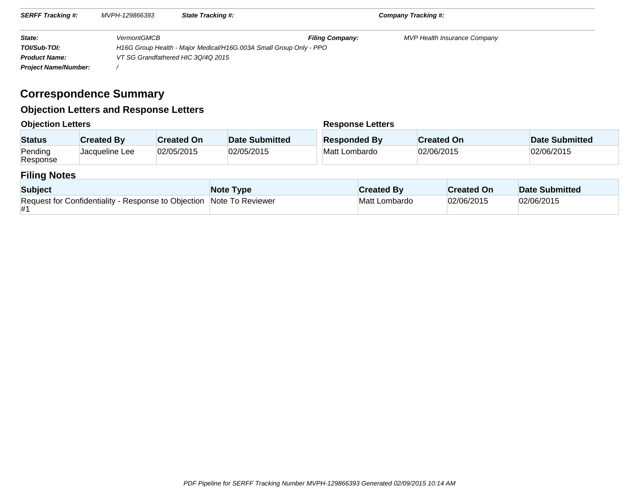| <b>SERFF Tracking #:</b><br>MVPH-129866393 |                    | <b>State Tracking #:</b>                                           | Company Tracking #:    |                                     |  |
|--------------------------------------------|--------------------|--------------------------------------------------------------------|------------------------|-------------------------------------|--|
| State:                                     | <b>VermontGMCB</b> |                                                                    | <b>Filing Company:</b> | <b>MVP Health Insurance Company</b> |  |
| TOI/Sub-TOI:                               |                    | H16G Group Health - Major Medical/H16G.003A Small Group Only - PPO |                        |                                     |  |
| <b>Product Name:</b>                       |                    | VT SG Grandfathered HIC 3Q/4Q 2015                                 |                        |                                     |  |
| <b>Project Name/Number:</b>                |                    |                                                                    |                        |                                     |  |

# **Correspondence Summary**

# **Objection Letters and Response Letters**

| <b>Objection Letters</b> |                   |                   | <b>Response Letters</b> |                     |                   |                |
|--------------------------|-------------------|-------------------|-------------------------|---------------------|-------------------|----------------|
| <b>Status</b>            | <b>Created By</b> | <b>Created On</b> | Date Submitted          | <b>Responded By</b> | <b>Created On</b> | Date Submitted |
| Pending<br>Response      | Jacqueline Lee    | 02/05/2015        | 02/05/2015              | Matt Lombardo       | 02/06/2015        | 02/06/2015     |

# **Filing Notes**

| <b>Subject</b>                                                             | Note Type | <b>Created By</b> | <b>Created On</b> | Date Submitted |
|----------------------------------------------------------------------------|-----------|-------------------|-------------------|----------------|
| Request for Confidentiality - Response to Objection Note To Reviewer<br>#1 |           | Matt Lombardo     | 02/06/2015        | 02/06/2015     |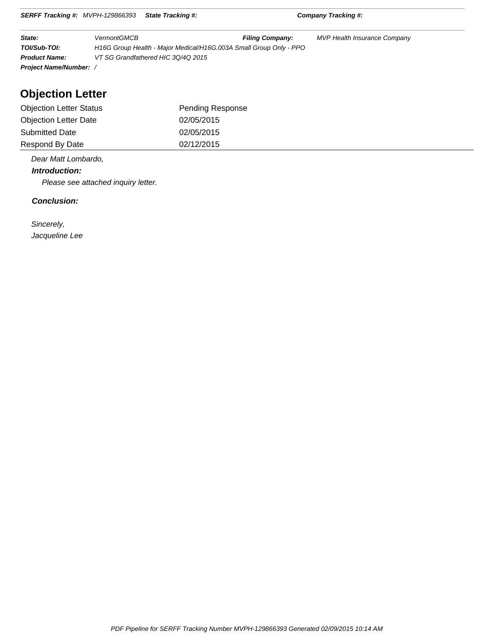| SERFF Tracking #: MVPH-129866393 State Tracking #: | <b>Company Tracking #:</b> |
|----------------------------------------------------|----------------------------|
|                                                    |                            |

| State:                      | <b>VermontGMCB</b>                                                 | <b>Filing Company:</b> | MVP Health Insurance Company |  |
|-----------------------------|--------------------------------------------------------------------|------------------------|------------------------------|--|
| TOI/Sub-TOI:                | H16G Group Health - Major Medical/H16G.003A Small Group Only - PPO |                        |                              |  |
| <b>Product Name:</b>        | VT SG Grandfathered HIC 30/40 2015                                 |                        |                              |  |
| <b>Project Name/Number:</b> |                                                                    |                        |                              |  |

# **Objection Letter**

| <b>Objection Letter Status</b> | Pending Response |
|--------------------------------|------------------|
| <b>Objection Letter Date</b>   | 02/05/2015       |
| <b>Submitted Date</b>          | 02/05/2015       |
| Respond By Date                | 02/12/2015       |

Dear Matt Lombardo,

 **Introduction:**

Please see attached inquiry letter.

#### **Conclusion:**

 Sincerely, Jacqueline Lee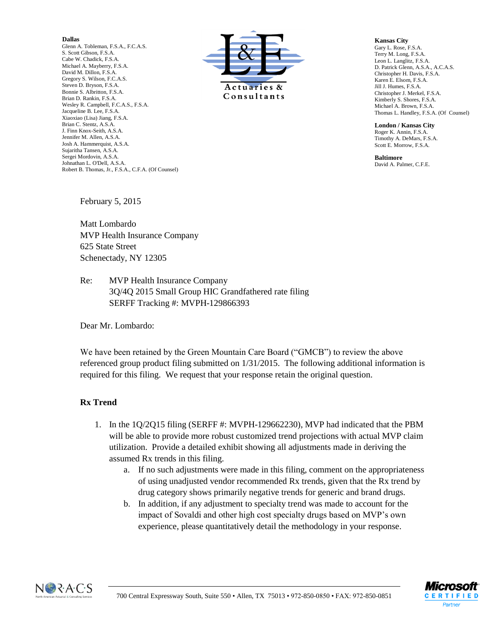#### **Dallas**

Glenn A. Tobleman, F.S.A., F.C.A.S. S. Scott Gibson, F.S.A. Cabe W. Chadick, F.S.A. Michael A. Mayberry, F.S.A. David M. Dillon, F.S.A. Gregory S. Wilson, F.C.A.S. Steven D. Bryson, F.S.A. Bonnie S. Albritton, F.S.A. Brian D. Rankin, F.S.A. Wesley R. Campbell, F.C.A.S., F.S.A. Jacqueline B. Lee, F.S.A. Xiaoxiao (Lisa) Jiang, F.S.A. Brian C. Stentz, A.S.A. J. Finn Knox-Seith, A.S.A. Jennifer M. Allen, A.S.A. Josh A. Hammerquist, A.S.A. Sujaritha Tansen, A.S.A. Sergei Mordovin, A.S.A. Johnathan L. O'Dell, A.S.A. Robert B. Thomas, Jr., F.S.A., C.F.A. (Of Counsel)



#### **Kansas City**

Gary L. Rose, F.S.A. Terry M. Long, F.S.A. Leon L. Langlitz, F.S.A. D. Patrick Glenn, A.S.A., A.C.A.S. Christopher H. Davis, F.S.A. Karen E. Elsom, F.S.A. Jill J. Humes, F.S.A. Christopher J. Merkel, F.S.A. Kimberly S. Shores, F.S.A. Michael A. Brown, F.S.A. Thomas L. Handley, F.S.A. (Of Counsel)

**London / Kansas City** Roger K. Annin, F.S.A. Timothy A. DeMars, F.S.A. Scott E. Morrow, F.S.A.

**Baltimore** David A. Palmer, C.F.E.

February 5, 2015

Matt Lombardo MVP Health Insurance Company 625 State Street Schenectady, NY 12305

Re: MVP Health Insurance Company 3Q/4Q 2015 Small Group HIC Grandfathered rate filing SERFF Tracking #: MVPH-129866393

Dear Mr. Lombardo:

We have been retained by the Green Mountain Care Board ("GMCB") to review the above referenced group product filing submitted on 1/31/2015. The following additional information is required for this filing. We request that your response retain the original question.

### **Rx Trend**

- 1. In the 1Q/2Q15 filing (SERFF #: MVPH-129662230), MVP had indicated that the PBM will be able to provide more robust customized trend projections with actual MVP claim utilization. Provide a detailed exhibit showing all adjustments made in deriving the assumed Rx trends in this filing.
	- a. If no such adjustments were made in this filing, comment on the appropriateness of using unadjusted vendor recommended Rx trends, given that the Rx trend by drug category shows primarily negative trends for generic and brand drugs.
	- b. In addition, if any adjustment to specialty trend was made to account for the impact of Sovaldi and other high cost specialty drugs based on MVP's own experience, please quantitatively detail the methodology in your response.



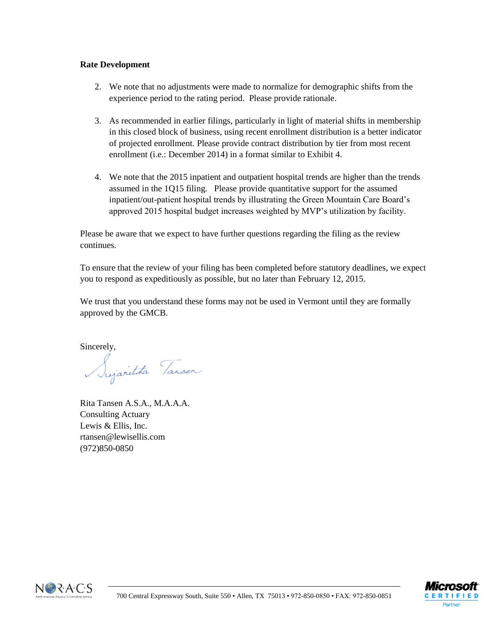### **Rate Development**

- 2. We note that no adjustments were made to normalize for demographic shifts from the experience period to the rating period. Please provide rationale.
- 3. As recommended in earlier filings, particularly in light of material shifts in membership in this closed block of business, using recent enrollment distribution is a better indicator of projected enrollment. Please provide contract distribution by tier from most recent enrollment (i.e.: December 2014) in a format similar to Exhibit 4.
- 4. We note that the 2015 inpatient and outpatient hospital trends are higher than the trends assumed in the 1Q15 filing. Please provide quantitative support for the assumed inpatient/out-patient hospital trends by illustrating the Green Mountain Care Board's approved 2015 hospital budget increases weighted by MVP's utilization by facility.

Please be aware that we expect to have further questions regarding the filing as the review continues.

To ensure that the review of your filing has been completed before statutory deadlines, we expect you to respond as expeditiously as possible, but no later than February 12, 2015.

We trust that you understand these forms may not be used in Vermont until they are formally approved by the GMCB.

Sincerely,

Sujaritta Tansen

Rita Tansen A.S.A., M.A.A.A. Consulting Actuary Lewis & Ellis, Inc. rtansen@lewisellis.com (972)850-0850



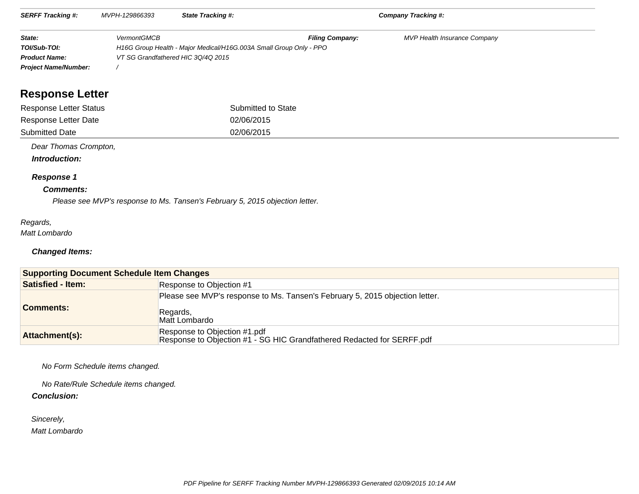| <b>SERFF Tracking #:</b>    | MVPH-129866393     | <b>State Tracking #:</b>                                           |                        | <b>Company Tracking #:</b>          |  |
|-----------------------------|--------------------|--------------------------------------------------------------------|------------------------|-------------------------------------|--|
| State:                      | <b>VermontGMCB</b> |                                                                    | <b>Filing Company:</b> | <b>MVP Health Insurance Company</b> |  |
| TOI/Sub-TOI:                |                    | H16G Group Health - Major Medical/H16G.003A Small Group Only - PPO |                        |                                     |  |
| <b>Product Name:</b>        |                    | VT SG Grandfathered HIC 3Q/4Q 2015                                 |                        |                                     |  |
| <b>Project Name/Number:</b> |                    |                                                                    |                        |                                     |  |

# **Response Letter**

| Response Letter Status | Submitted to State |
|------------------------|--------------------|
| Response Letter Date   | 02/06/2015         |
| <b>Submitted Date</b>  | 02/06/2015         |

Dear Thomas Crompton,

 **Introduction:**

#### **Response 1**

#### **Comments:**

Please see MVP's response to Ms. Tansen's February 5, 2015 objection letter.

### Regards,

Matt Lombardo

#### **Changed Items:**

| <b>Supporting Document Schedule Item Changes</b> |                                                                                                           |  |
|--------------------------------------------------|-----------------------------------------------------------------------------------------------------------|--|
| <b>Satisfied - Item:</b>                         | Response to Objection #1                                                                                  |  |
| <b>Comments:</b>                                 | Please see MVP's response to Ms. Tansen's February 5, 2015 objection letter.<br>Regards,<br>Matt Lombardo |  |
| Attachment(s):                                   | Response to Objection #1.pdf<br>Response to Objection #1 - SG HIC Grandfathered Redacted for SERFF pdf    |  |

No Form Schedule items changed.

No Rate/Rule Schedule items changed.

#### **Conclusion:**

Sincerely,

Matt Lombardo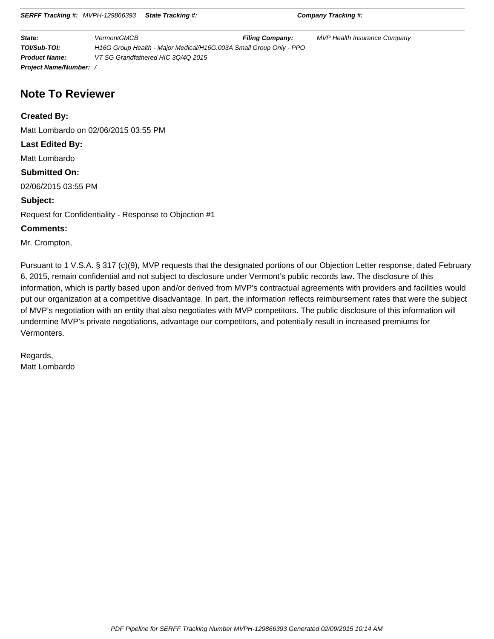|  | <b>SERFF Tracking #: MVPH-129866393 State Tracking #:</b> |  |
|--|-----------------------------------------------------------|--|
|--|-----------------------------------------------------------|--|

**SERFE TRACKING #:** Company Tracking #:

| State:                        | <b>VermontGMCB</b>                                                 | <b>Filing Company:</b> | <b>MVP Health Insurance Company</b> |
|-------------------------------|--------------------------------------------------------------------|------------------------|-------------------------------------|
| TOI/Sub-TOI:                  | H16G Group Health - Major Medical/H16G.003A Small Group Only - PPO |                        |                                     |
| <b>Product Name:</b>          | VT SG Grandfathered HIC 3Q/4Q 2015                                 |                        |                                     |
| <b>Project Name/Number:</b> / |                                                                    |                        |                                     |

# **Note To Reviewer**

**Created By:**

Matt Lombardo on 02/06/2015 03:55 PM

**Last Edited By:**

Matt Lombardo

#### **Submitted On:**

02/06/2015 03:55 PM

**Subject:**

Request for Confidentiality - Response to Objection #1

### **Comments:**

Mr. Crompton,

Pursuant to 1 V.S.A. § 317 (c)(9), MVP requests that the designated portions of our Objection Letter response, dated February 6, 2015, remain confidential and not subject to disclosure under Vermont's public records law. The disclosure of this information, which is partly based upon and/or derived from MVP's contractual agreements with providers and facilities would put our organization at a competitive disadvantage. In part, the information reflects reimbursement rates that were the subject of MVP's negotiation with an entity that also negotiates with MVP competitors. The public disclosure of this information will undermine MVP's private negotiations, advantage our competitors, and potentially result in increased premiums for Vermonters.

Regards, Matt Lombardo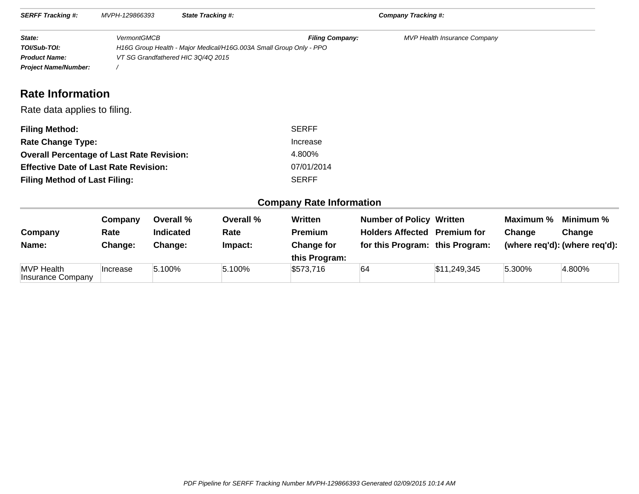| <b>SERFF Tracking #:</b>                                                      | MVPH-129866393     |                                    | <b>State Tracking #:</b>                                           |                                    | Company Tracking #:                 |                                     |           |                               |
|-------------------------------------------------------------------------------|--------------------|------------------------------------|--------------------------------------------------------------------|------------------------------------|-------------------------------------|-------------------------------------|-----------|-------------------------------|
| State:<br>TOI/Sub-TOI:<br><b>Product Name:</b><br><b>Project Name/Number:</b> | <b>VermontGMCB</b> | VT SG Grandfathered HIC 3Q/4Q 2015 | H16G Group Health - Major Medical/H16G.003A Small Group Only - PPO | <b>Filing Company:</b>             |                                     | <b>MVP Health Insurance Company</b> |           |                               |
| <b>Rate Information</b>                                                       |                    |                                    |                                                                    |                                    |                                     |                                     |           |                               |
| Rate data applies to filing.                                                  |                    |                                    |                                                                    |                                    |                                     |                                     |           |                               |
| <b>Filing Method:</b>                                                         |                    |                                    |                                                                    | <b>SERFF</b>                       |                                     |                                     |           |                               |
| <b>Rate Change Type:</b>                                                      |                    |                                    |                                                                    | Increase                           |                                     |                                     |           |                               |
| <b>Overall Percentage of Last Rate Revision:</b>                              |                    |                                    |                                                                    | 4.800%                             |                                     |                                     |           |                               |
| <b>Effective Date of Last Rate Revision:</b>                                  |                    |                                    |                                                                    | 07/01/2014                         |                                     |                                     |           |                               |
| <b>Filing Method of Last Filing:</b>                                          |                    |                                    |                                                                    | <b>SERFF</b>                       |                                     |                                     |           |                               |
|                                                                               |                    |                                    |                                                                    | <b>Company Rate Information</b>    |                                     |                                     |           |                               |
|                                                                               | Company            | Overall %                          | Overall %                                                          | <b>Written</b>                     | <b>Number of Policy Written</b>     |                                     | Maximum % | Minimum %                     |
| Company                                                                       | Rate               | <b>Indicated</b>                   | Rate                                                               | Premium                            | <b>Holders Affected Premium for</b> |                                     | Change    | Change                        |
| Name:                                                                         | Change:            | Change:                            | Impact:                                                            | <b>Change for</b><br>this Program: | for this Program: this Program:     |                                     |           | (where req'd): (where req'd): |
| <b>MVP</b> Health<br>Insurance Company                                        | Increase           | 5.100%                             | 5.100%                                                             | \$573,716                          | 64                                  | \$11,249,345                        | 5.300%    | 4.800%                        |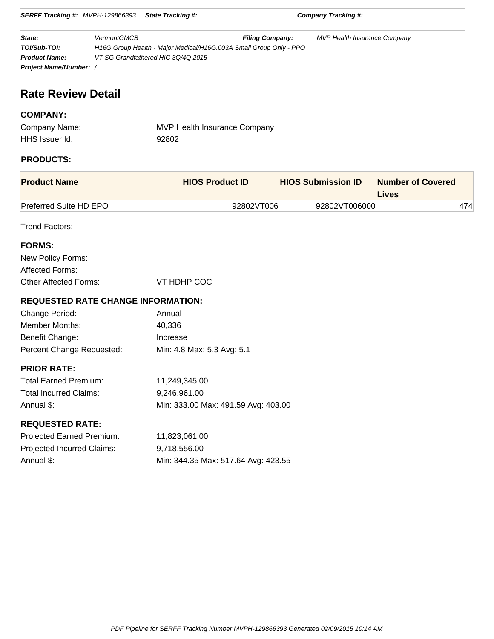**SERFF Tracking #:** MVPH-129866393 **State Tracking #: Company Tracking #: State:** VermontGMCB **Filing Company:** MVP Health Insurance Company **TOI/Sub-TOI:** H16G Group Health - Major Medical/H16G.003A Small Group Only - PPO **Product Name:** VT SG Grandfathered HIC 3Q/4Q 2015

# **Rate Review Detail**

**Project Name/Number:** /

### **COMPANY:**

| Company Name:  | MVP Health Insurance Company |
|----------------|------------------------------|
| HHS Issuer Id: | 92802                        |

### **PRODUCTS:**

| <b>Product Name</b>           | <b>HIOS Product ID</b> | <b>HIOS Submission ID</b> | <b>Number of Covered</b><br>Lives |
|-------------------------------|------------------------|---------------------------|-----------------------------------|
| <b>Preferred Suite HD EPO</b> | 92802VT006             | 92802VT006000             | 474                               |

Trend Factors:

| <b>FORMS:</b>         |             |
|-----------------------|-------------|
| New Policy Forms:     |             |
| Affected Forms:       |             |
| Other Affected Forms: | VT HDHP COC |

### **REQUESTED RATE CHANGE INFORMATION:**

| Change Period:            | Annual                     |
|---------------------------|----------------------------|
| Member Months:            | 40.336                     |
| Benefit Change:           | Increase                   |
| Percent Change Requested: | Min: 4.8 Max: 5.3 Avg: 5.1 |

### **PRIOR RATE:**

| <b>Total Earned Premium:</b> | 11.249.345.00                       |
|------------------------------|-------------------------------------|
| Total Incurred Claims:       | 9.246.961.00                        |
| Annual \$:                   | Min: 333.00 Max: 491.59 Avg: 403.00 |

### **REQUESTED RATE:**

| Projected Earned Premium:  | 11,823,061.00                       |
|----------------------------|-------------------------------------|
| Projected Incurred Claims: | 9.718.556.00                        |
| Annual \$:                 | Min: 344.35 Max: 517.64 Avg: 423.55 |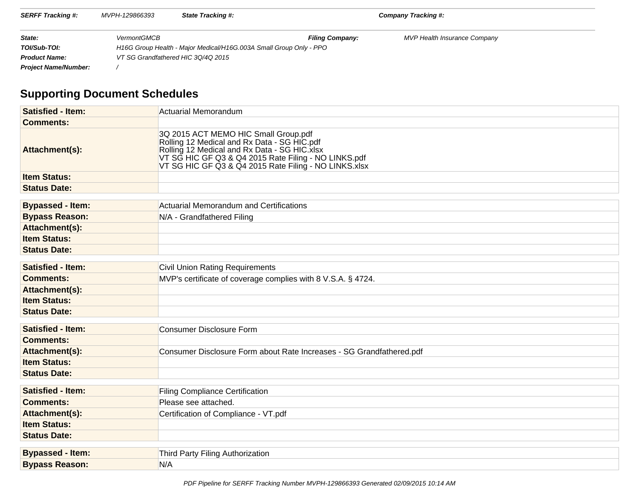| <b>SERFF Tracking #:</b>    | MVPH-129866393     | <b>State Tracking #:</b>                                           |                        | Company Tracking #:                 |  |
|-----------------------------|--------------------|--------------------------------------------------------------------|------------------------|-------------------------------------|--|
| State:                      | <b>VermontGMCB</b> |                                                                    | <b>Filing Company:</b> | <b>MVP Health Insurance Company</b> |  |
| TOI/Sub-TOI:                |                    | H16G Group Health - Major Medical/H16G.003A Small Group Only - PPO |                        |                                     |  |
| <b>Product Name:</b>        |                    | VT SG Grandfathered HIC 3Q/4Q 2015                                 |                        |                                     |  |
| <b>Project Name/Number:</b> |                    |                                                                    |                        |                                     |  |

# **Supporting Document Schedules**

| <b>Satisfied - Item:</b> | Actuarial Memorandum                                                                                                                                                                                                                                  |
|--------------------------|-------------------------------------------------------------------------------------------------------------------------------------------------------------------------------------------------------------------------------------------------------|
| <b>Comments:</b>         |                                                                                                                                                                                                                                                       |
| Attachment(s):           | 3Q 2015 ACT MEMO HIC Small Group.pdf<br>Rolling 12 Medical and Rx Data - SG HIC.pdf<br>Rolling 12 Medical and Rx Data - SG HIC.xlsx<br>VT SG HIC GF Q3 & Q4 2015 Rate Filing - NO LINKS.pdf<br>VT SG HIC GF Q3 & Q4 2015 Rate Filing - NO LINKS. xlsx |
| <b>Item Status:</b>      |                                                                                                                                                                                                                                                       |
| <b>Status Date:</b>      |                                                                                                                                                                                                                                                       |
| <b>Bypassed - Item:</b>  | Actuarial Memorandum and Certifications                                                                                                                                                                                                               |
| <b>Bypass Reason:</b>    | N/A - Grandfathered Filing                                                                                                                                                                                                                            |
| Attachment(s):           |                                                                                                                                                                                                                                                       |
| <b>Item Status:</b>      |                                                                                                                                                                                                                                                       |
| <b>Status Date:</b>      |                                                                                                                                                                                                                                                       |
|                          |                                                                                                                                                                                                                                                       |
| <b>Satisfied - Item:</b> | <b>Civil Union Rating Requirements</b>                                                                                                                                                                                                                |
| <b>Comments:</b>         | MVP's certificate of coverage complies with 8 V.S.A. § 4724.                                                                                                                                                                                          |
| Attachment(s):           |                                                                                                                                                                                                                                                       |
| <b>Item Status:</b>      |                                                                                                                                                                                                                                                       |
| <b>Status Date:</b>      |                                                                                                                                                                                                                                                       |
| <b>Satisfied - Item:</b> | Consumer Disclosure Form                                                                                                                                                                                                                              |
| <b>Comments:</b>         |                                                                                                                                                                                                                                                       |
| Attachment(s):           | Consumer Disclosure Form about Rate Increases - SG Grandfathered.pdf                                                                                                                                                                                  |
| <b>Item Status:</b>      |                                                                                                                                                                                                                                                       |
| <b>Status Date:</b>      |                                                                                                                                                                                                                                                       |
| <b>Satisfied - Item:</b> | <b>Filing Compliance Certification</b>                                                                                                                                                                                                                |
| <b>Comments:</b>         | Please see attached.                                                                                                                                                                                                                                  |
| Attachment(s):           | Certification of Compliance - VT.pdf                                                                                                                                                                                                                  |
| <b>Item Status:</b>      |                                                                                                                                                                                                                                                       |
| <b>Status Date:</b>      |                                                                                                                                                                                                                                                       |
|                          |                                                                                                                                                                                                                                                       |
| <b>Bypassed - Item:</b>  | Third Party Filing Authorization                                                                                                                                                                                                                      |
| <b>Bypass Reason:</b>    | N/A                                                                                                                                                                                                                                                   |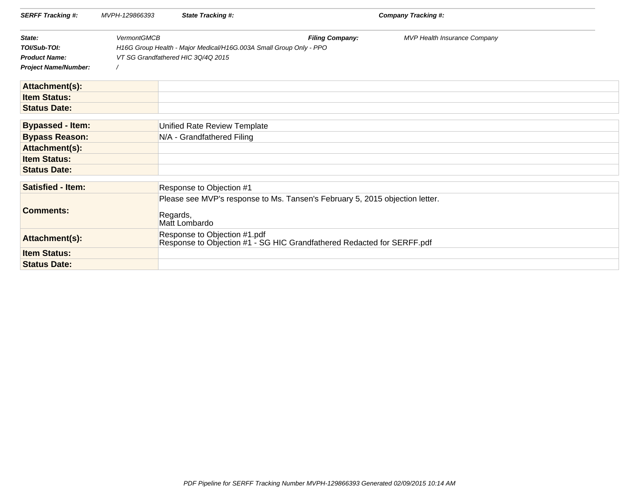| <b>SERFF Tracking #:</b>    | MVPH-129866393     | <b>State Tracking #:</b>                                           |                                                                                                        | Company Tracking #:          |  |
|-----------------------------|--------------------|--------------------------------------------------------------------|--------------------------------------------------------------------------------------------------------|------------------------------|--|
| State:                      | <b>VermontGMCB</b> |                                                                    | <b>Filing Company:</b>                                                                                 | MVP Health Insurance Company |  |
| TOI/Sub-TOI:                |                    | H16G Group Health - Major Medical/H16G.003A Small Group Only - PPO |                                                                                                        |                              |  |
| <b>Product Name:</b>        |                    | VT SG Grandfathered HIC 3Q/4Q 2015                                 |                                                                                                        |                              |  |
| <b>Project Name/Number:</b> |                    |                                                                    |                                                                                                        |                              |  |
| Attachment(s):              |                    |                                                                    |                                                                                                        |                              |  |
| <b>Item Status:</b>         |                    |                                                                    |                                                                                                        |                              |  |
| <b>Status Date:</b>         |                    |                                                                    |                                                                                                        |                              |  |
|                             |                    |                                                                    |                                                                                                        |                              |  |
| <b>Bypassed - Item:</b>     |                    | Unified Rate Review Template                                       |                                                                                                        |                              |  |
| <b>Bypass Reason:</b>       |                    | N/A - Grandfathered Filing                                         |                                                                                                        |                              |  |
| Attachment(s):              |                    |                                                                    |                                                                                                        |                              |  |
| <b>Item Status:</b>         |                    |                                                                    |                                                                                                        |                              |  |
| <b>Status Date:</b>         |                    |                                                                    |                                                                                                        |                              |  |
|                             |                    |                                                                    |                                                                                                        |                              |  |
| <b>Satisfied - Item:</b>    |                    | Response to Objection #1                                           |                                                                                                        |                              |  |
| <b>Comments:</b>            |                    | Regards,<br>Matt Lombardo                                          | Please see MVP's response to Ms. Tansen's February 5, 2015 objection letter.                           |                              |  |
| Attachment(s):              |                    |                                                                    | Response to Objection #1.pdf<br>Response to Objection #1 - SG HIC Grandfathered Redacted for SERFF.pdf |                              |  |
| <b>Item Status:</b>         |                    |                                                                    |                                                                                                        |                              |  |
| <b>Status Date:</b>         |                    |                                                                    |                                                                                                        |                              |  |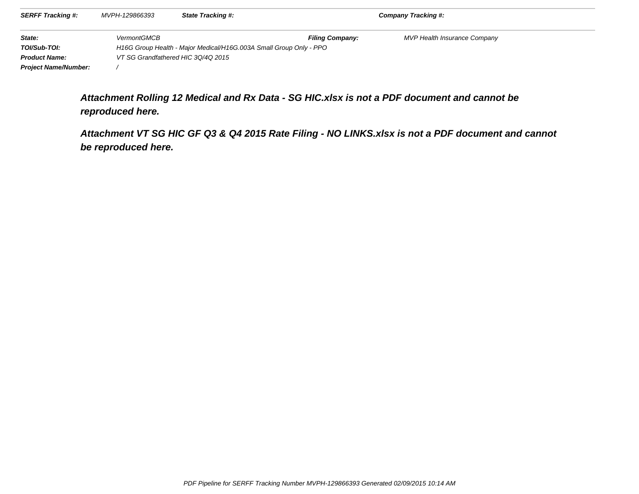| <b>SERFF Tracking #:</b>    | MVPH-129866393     | <b>State Tracking #:</b>                                           |                        | Company Tracking #:                 |  |
|-----------------------------|--------------------|--------------------------------------------------------------------|------------------------|-------------------------------------|--|
| State:                      | <b>VermontGMCB</b> |                                                                    | <b>Filing Company:</b> | <b>MVP Health Insurance Company</b> |  |
| TOI/Sub-TOI:                |                    | H16G Group Health - Major Medical/H16G.003A Small Group Only - PPO |                        |                                     |  |
| <b>Product Name:</b>        |                    | VT SG Grandfathered HIC 3Q/4Q 2015                                 |                        |                                     |  |
| <b>Project Name/Number:</b> |                    |                                                                    |                        |                                     |  |

**Attachment Rolling 12 Medical and Rx Data - SG HIC.xlsx is not a PDF document and cannot bereproduced here.**

**Attachment VT SG HIC GF Q3 & Q4 2015 Rate Filing - NO LINKS.xlsx is not a PDF document and cannotbe reproduced here.**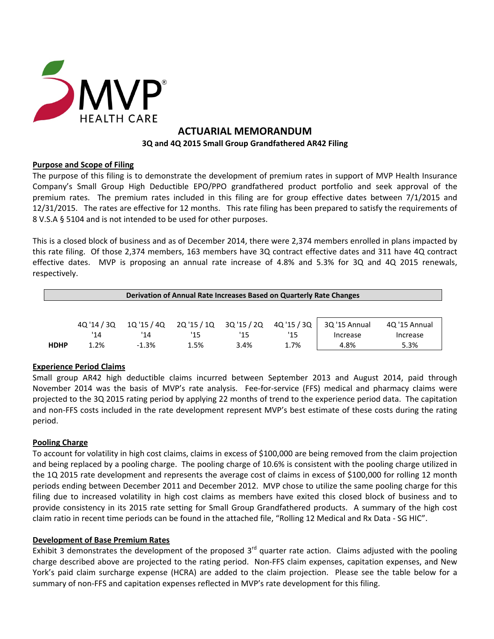

# **ACTUARIAL MEMORANDUM 3Q and 4Q 2015 Small Group Grandfathered AR42 Filing**

### **Purpose and Scope of Filing**

The purpose of this filing is to demonstrate the development of premium rates in support of MVP Health Insurance Company's Small Group High Deductible EPO/PPO grandfathered product portfolio and seek approval of the premium rates. The premium rates included in this filing are for group effective dates between 7/1/2015 and 12/31/2015. The rates are effective for 12 months. This rate filing has been prepared to satisfy the requirements of 8 V.S.A § 5104 and is not intended to be used for other purposes.

This is a closed block of business and as of December 2014, there were 2,374 members enrolled in plans impacted by this rate filing. Of those 2,374 members, 163 members have 3Q contract effective dates and 311 have 4Q contract effective dates. MVP is proposing an annual rate increase of 4.8% and 5.3% for 3Q and 4Q 2015 renewals, respectively.

| Derivation of Annual Rate Increases Based on Quarterly Rate Changes |             |         |                                        |      |      |               |               |  |
|---------------------------------------------------------------------|-------------|---------|----------------------------------------|------|------|---------------|---------------|--|
|                                                                     |             |         |                                        |      |      |               |               |  |
|                                                                     | 40 '14 / 30 |         | 10'15/40  20'15/10  30'15/20  40'15/30 |      |      | 3Q '15 Annual | 4Q '15 Annual |  |
|                                                                     | '14         | '14     | '15                                    | '15  | '15  | Increase      | Increase      |  |
| <b>HDHP</b>                                                         | 1.2%        | $-1.3%$ | 1.5%                                   | 3.4% | 1.7% | 4.8%          | 5.3%          |  |

### **Experience Period Claims**

Small group AR42 high deductible claims incurred between September 2013 and August 2014, paid through November 2014 was the basis of MVP's rate analysis. Fee‐for‐service (FFS) medical and pharmacy claims were projected to the 3Q 2015 rating period by applying 22 months of trend to the experience period data. The capitation and non‐FFS costs included in the rate development represent MVP's best estimate of these costs during the rating period.

### **Pooling Charge**

To account for volatility in high cost claims, claims in excess of \$100,000 are being removed from the claim projection and being replaced by a pooling charge. The pooling charge of 10.6% is consistent with the pooling charge utilized in the 1Q 2015 rate development and represents the average cost of claims in excess of \$100,000 for rolling 12 month periods ending between December 2011 and December 2012. MVP chose to utilize the same pooling charge for this filing due to increased volatility in high cost claims as members have exited this closed block of business and to provide consistency in its 2015 rate setting for Small Group Grandfathered products. A summary of the high cost claim ratio in recent time periods can be found in the attached file, "Rolling 12 Medical and Rx Data ‐ SG HIC".

### **Development of Base Premium Rates**

Exhibit 3 demonstrates the development of the proposed  $3<sup>rd</sup>$  quarter rate action. Claims adjusted with the pooling charge described above are projected to the rating period. Non‐FFS claim expenses, capitation expenses, and New York's paid claim surcharge expense (HCRA) are added to the claim projection. Please see the table below for a summary of non-FFS and capitation expenses reflected in MVP's rate development for this filing.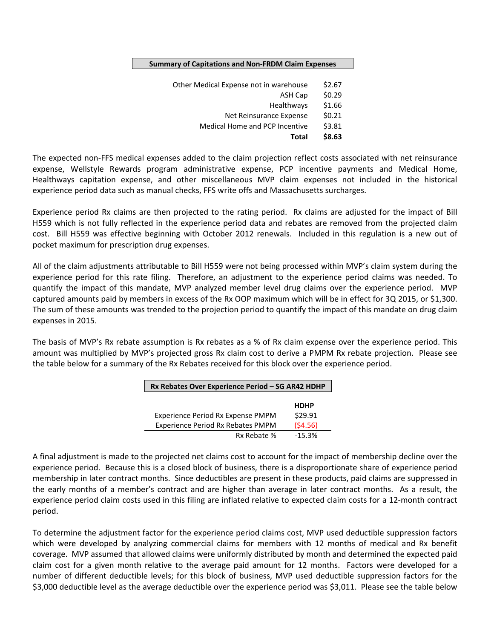| <b>Summary of Capitations and Non-FRDM Claim Expenses</b> |        |  |  |
|-----------------------------------------------------------|--------|--|--|
|                                                           |        |  |  |
| Other Medical Expense not in warehouse                    | \$2.67 |  |  |
| <b>ASH Cap</b>                                            | \$0.29 |  |  |
| Healthways                                                | \$1.66 |  |  |
| Net Reinsurance Expense                                   | \$0.21 |  |  |
| <b>Medical Home and PCP Incentive</b>                     | \$3.81 |  |  |
| Total                                                     | \$8.63 |  |  |

The expected non‐FFS medical expenses added to the claim projection reflect costs associated with net reinsurance expense, Wellstyle Rewards program administrative expense, PCP incentive payments and Medical Home, Healthways capitation expense, and other miscellaneous MVP claim expenses not included in the historical experience period data such as manual checks, FFS write offs and Massachusetts surcharges.

Experience period Rx claims are then projected to the rating period. Rx claims are adjusted for the impact of Bill H559 which is not fully reflected in the experience period data and rebates are removed from the projected claim cost. Bill H559 was effective beginning with October 2012 renewals. Included in this regulation is a new out of pocket maximum for prescription drug expenses.

All of the claim adjustments attributable to Bill H559 were not being processed within MVP's claim system during the experience period for this rate filing. Therefore, an adjustment to the experience period claims was needed. To quantify the impact of this mandate, MVP analyzed member level drug claims over the experience period. MVP captured amounts paid by members in excess of the Rx OOP maximum which will be in effect for 3Q 2015, or \$1,300. The sum of these amounts was trended to the projection period to quantify the impact of this mandate on drug claim expenses in 2015.

The basis of MVP's Rx rebate assumption is Rx rebates as a % of Rx claim expense over the experience period. This amount was multiplied by MVP's projected gross Rx claim cost to derive a PMPM Rx rebate projection. Please see the table below for a summary of the Rx Rebates received for this block over the experience period.

| Rx Rebates Over Experience Period - SG AR42 HDHP |             |  |  |  |  |  |
|--------------------------------------------------|-------------|--|--|--|--|--|
|                                                  |             |  |  |  |  |  |
|                                                  | <b>HDHP</b> |  |  |  |  |  |
| Experience Period Rx Expense PMPM                | \$29.91     |  |  |  |  |  |
| Experience Period Rx Rebates PMPM                | (54.56)     |  |  |  |  |  |
| Rx Rebate %                                      | $-15.3%$    |  |  |  |  |  |

A final adjustment is made to the projected net claims cost to account for the impact of membership decline over the experience period. Because this is a closed block of business, there is a disproportionate share of experience period membership in later contract months. Since deductibles are present in these products, paid claims are suppressed in the early months of a member's contract and are higher than average in later contract months. As a result, the experience period claim costs used in this filing are inflated relative to expected claim costs for a 12‐month contract period.

To determine the adjustment factor for the experience period claims cost, MVP used deductible suppression factors which were developed by analyzing commercial claims for members with 12 months of medical and Rx benefit coverage. MVP assumed that allowed claims were uniformly distributed by month and determined the expected paid claim cost for a given month relative to the average paid amount for 12 months. Factors were developed for a number of different deductible levels; for this block of business, MVP used deductible suppression factors for the \$3,000 deductible level as the average deductible over the experience period was \$3,011. Please see the table below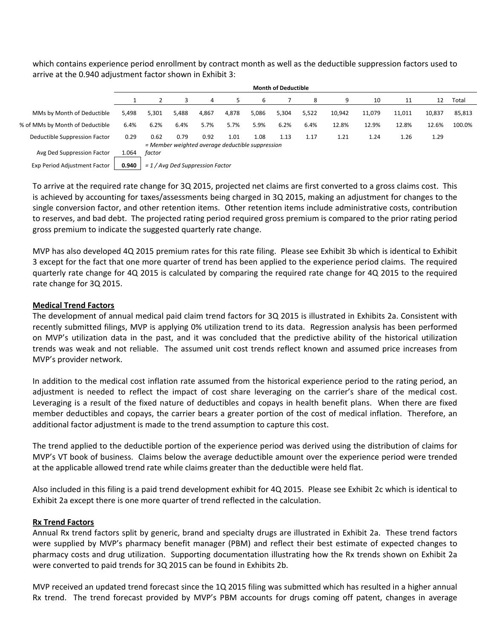which contains experience period enrollment by contract month as well as the deductible suppression factors used to arrive at the 0.940 adjustment factor shown in Exhibit 3:

|                                 |       | <b>Month of Deductible</b> |                                    |       |       |                                                  |       |       |        |        |        |        |        |
|---------------------------------|-------|----------------------------|------------------------------------|-------|-------|--------------------------------------------------|-------|-------|--------|--------|--------|--------|--------|
|                                 |       |                            |                                    | 4     | 5.    | 6                                                |       | 8     | 9      | 10     | 11     | 12     | Total  |
| MMs by Month of Deductible      | 5,498 | 5,301                      | 5,488                              | 4,867 | 4,878 | 5,086                                            | 5,304 | 5,522 | 10,942 | 11,079 | 11,011 | 10,837 | 85,813 |
| % of MMs by Month of Deductible | 6.4%  | 6.2%                       | 6.4%                               | 5.7%  | 5.7%  | 5.9%                                             | 6.2%  | 6.4%  | 12.8%  | 12.9%  | 12.8%  | 12.6%  | 100.0% |
| Deductible Suppression Factor   | 0.29  | 0.62                       | 0.79                               | 0.92  | 1.01  | 1.08                                             | 1.13  | 1.17  | 1.21   | 1.24   | 1.26   | 1.29   |        |
| Avg Ded Suppression Factor      | 1.064 | factor                     |                                    |       |       | = Member weighted average deductible suppression |       |       |        |        |        |        |        |
|                                 |       |                            |                                    |       |       |                                                  |       |       |        |        |        |        |        |
| Exp Period Adjustment Factor    | 0.940 |                            | $= 1$ / Avg Ded Suppression Factor |       |       |                                                  |       |       |        |        |        |        |        |

To arrive at the required rate change for 3Q 2015, projected net claims are first converted to a gross claims cost. This is achieved by accounting for taxes/assessments being charged in 3Q 2015, making an adjustment for changes to the single conversion factor, and other retention items. Other retention items include administrative costs, contribution to reserves, and bad debt. The projected rating period required gross premium is compared to the prior rating period gross premium to indicate the suggested quarterly rate change.

MVP has also developed 4Q 2015 premium rates for this rate filing. Please see Exhibit 3b which is identical to Exhibit 3 except for the fact that one more quarter of trend has been applied to the experience period claims. The required quarterly rate change for 4Q 2015 is calculated by comparing the required rate change for 4Q 2015 to the required rate change for 3Q 2015.

#### **Medical Trend Factors**

The development of annual medical paid claim trend factors for 3Q 2015 is illustrated in Exhibits 2a. Consistent with recently submitted filings, MVP is applying 0% utilization trend to its data. Regression analysis has been performed on MVP's utilization data in the past, and it was concluded that the predictive ability of the historical utilization trends was weak and not reliable. The assumed unit cost trends reflect known and assumed price increases from MVP's provider network.

In addition to the medical cost inflation rate assumed from the historical experience period to the rating period, an adjustment is needed to reflect the impact of cost share leveraging on the carrier's share of the medical cost. Leveraging is a result of the fixed nature of deductibles and copays in health benefit plans. When there are fixed member deductibles and copays, the carrier bears a greater portion of the cost of medical inflation. Therefore, an additional factor adjustment is made to the trend assumption to capture this cost.

The trend applied to the deductible portion of the experience period was derived using the distribution of claims for MVP's VT book of business. Claims below the average deductible amount over the experience period were trended at the applicable allowed trend rate while claims greater than the deductible were held flat.

Also included in this filing is a paid trend development exhibit for 4Q 2015. Please see Exhibit 2c which is identical to Exhibit 2a except there is one more quarter of trend reflected in the calculation.

### **Rx Trend Factors**

Annual Rx trend factors split by generic, brand and specialty drugs are illustrated in Exhibit 2a. These trend factors were supplied by MVP's pharmacy benefit manager (PBM) and reflect their best estimate of expected changes to pharmacy costs and drug utilization. Supporting documentation illustrating how the Rx trends shown on Exhibit 2a were converted to paid trends for 3Q 2015 can be found in Exhibits 2b.

MVP received an updated trend forecast since the 1Q 2015 filing was submitted which has resulted in a higher annual Rx trend. The trend forecast provided by MVP's PBM accounts for drugs coming off patent, changes in average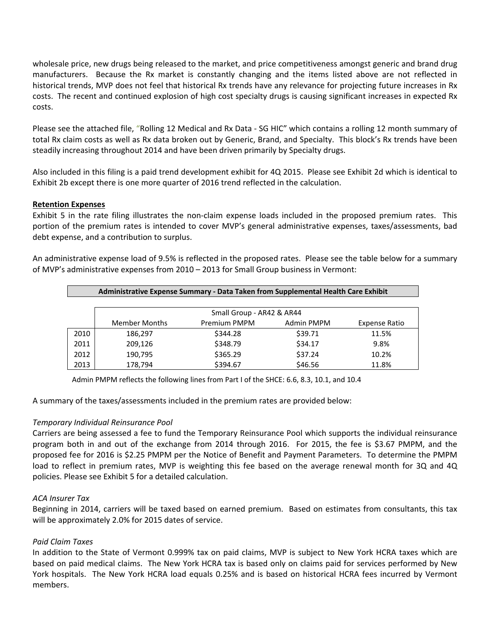wholesale price, new drugs being released to the market, and price competitiveness amongst generic and brand drug manufacturers. Because the Rx market is constantly changing and the items listed above are not reflected in historical trends, MVP does not feel that historical Rx trends have any relevance for projecting future increases in Rx costs. The recent and continued explosion of high cost specialty drugs is causing significant increases in expected Rx costs.

Please see the attached file, "Rolling 12 Medical and Rx Data ‐ SG HIC" which contains a rolling 12 month summary of total Rx claim costs as well as Rx data broken out by Generic, Brand, and Specialty. This block's Rx trends have been steadily increasing throughout 2014 and have been driven primarily by Specialty drugs.

Also included in this filing is a paid trend development exhibit for 4Q 2015. Please see Exhibit 2d which is identical to Exhibit 2b except there is one more quarter of 2016 trend reflected in the calculation.

#### **Retention Expenses**

Exhibit 5 in the rate filing illustrates the non-claim expense loads included in the proposed premium rates. This portion of the premium rates is intended to cover MVP's general administrative expenses, taxes/assessments, bad debt expense, and a contribution to surplus.

An administrative expense load of 9.5% is reflected in the proposed rates. Please see the table below for a summary of MVP's administrative expenses from 2010 – 2013 for Small Group business in Vermont:

| Administrative Expense Summary - Data Taken from Supplemental Health Care Exhibit |                      |                           |            |               |  |  |  |
|-----------------------------------------------------------------------------------|----------------------|---------------------------|------------|---------------|--|--|--|
|                                                                                   |                      |                           |            |               |  |  |  |
|                                                                                   |                      | Small Group - AR42 & AR44 |            |               |  |  |  |
|                                                                                   | <b>Member Months</b> | Premium PMPM              | Admin PMPM | Expense Ratio |  |  |  |
| 2010                                                                              | 186.297              | \$344.28                  | \$39.71    | 11.5%         |  |  |  |
| 2011                                                                              | 209,126              | \$348.79                  | \$34.17    | 9.8%          |  |  |  |
| 2012                                                                              | 190,795              | \$365.29                  | \$37.24    | 10.2%         |  |  |  |
| 2013                                                                              | 178,794              | \$394.67                  | \$46.56    | 11.8%         |  |  |  |

Admin PMPM reflects the following lines from Part I of the SHCE: 6.6, 8.3, 10.1, and 10.4

A summary of the taxes/assessments included in the premium rates are provided below:

#### *Temporary Individual Reinsurance Pool*

Carriers are being assessed a fee to fund the Temporary Reinsurance Pool which supports the individual reinsurance program both in and out of the exchange from 2014 through 2016. For 2015, the fee is \$3.67 PMPM, and the proposed fee for 2016 is \$2.25 PMPM per the Notice of Benefit and Payment Parameters. To determine the PMPM load to reflect in premium rates, MVP is weighting this fee based on the average renewal month for 3Q and 4Q policies. Please see Exhibit 5 for a detailed calculation.

#### *ACA Insurer Tax*

Beginning in 2014, carriers will be taxed based on earned premium. Based on estimates from consultants, this tax will be approximately 2.0% for 2015 dates of service.

### *Paid Claim Taxes*

In addition to the State of Vermont 0.999% tax on paid claims, MVP is subject to New York HCRA taxes which are based on paid medical claims. The New York HCRA tax is based only on claims paid for services performed by New York hospitals. The New York HCRA load equals 0.25% and is based on historical HCRA fees incurred by Vermont members.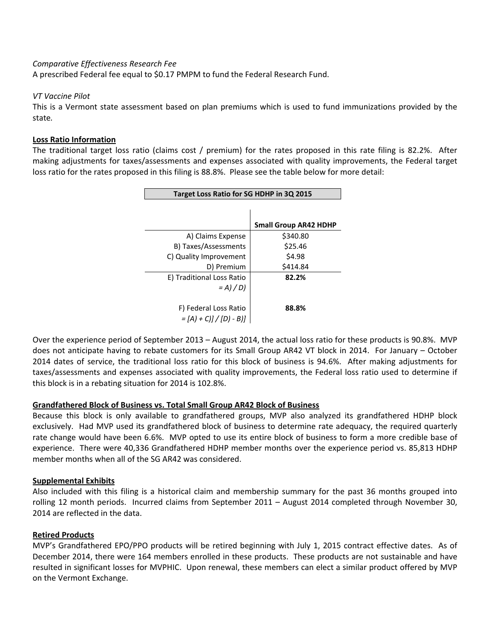#### *Comparative Effectiveness Research Fee*

A prescribed Federal fee equal to \$0.17 PMPM to fund the Federal Research Fund.

#### *VT Vaccine Pilot*

This is a Vermont state assessment based on plan premiums which is used to fund immunizations provided by the state*.* 

#### **Loss Ratio Information**

The traditional target loss ratio (claims cost / premium) for the rates proposed in this rate filing is 82.2%. After making adjustments for taxes/assessments and expenses associated with quality improvements, the Federal target loss ratio for the rates proposed in this filing is 88.8%. Please see the table below for more detail:

| Target Loss Ratio for SG HDHP in 3Q 2015 |                              |  |  |  |  |  |  |
|------------------------------------------|------------------------------|--|--|--|--|--|--|
|                                          |                              |  |  |  |  |  |  |
|                                          | <b>Small Group AR42 HDHP</b> |  |  |  |  |  |  |
| A) Claims Expense                        | \$340.80                     |  |  |  |  |  |  |
| B) Taxes/Assessments                     | \$25.46                      |  |  |  |  |  |  |
| C) Quality Improvement                   | \$4.98                       |  |  |  |  |  |  |
| D) Premium                               | \$414.84                     |  |  |  |  |  |  |
| E) Traditional Loss Ratio                | 82.2%                        |  |  |  |  |  |  |
| $= A$ ) / D)                             |                              |  |  |  |  |  |  |
|                                          |                              |  |  |  |  |  |  |
| F) Federal Loss Ratio                    | 88.8%                        |  |  |  |  |  |  |
| $=[A]+C]/[D]-B]$                         |                              |  |  |  |  |  |  |

Over the experience period of September 2013 – August 2014, the actual loss ratio for these products is 90.8%. MVP does not anticipate having to rebate customers for its Small Group AR42 VT block in 2014. For January – October 2014 dates of service, the traditional loss ratio for this block of business is 94.6%. After making adjustments for taxes/assessments and expenses associated with quality improvements, the Federal loss ratio used to determine if this block is in a rebating situation for 2014 is 102.8%.

#### **Grandfathered Block of Business vs. Total Small Group AR42 Block of Business**

Because this block is only available to grandfathered groups, MVP also analyzed its grandfathered HDHP block exclusively. Had MVP used its grandfathered block of business to determine rate adequacy, the required quarterly rate change would have been 6.6%. MVP opted to use its entire block of business to form a more credible base of experience. There were 40,336 Grandfathered HDHP member months over the experience period vs. 85,813 HDHP member months when all of the SG AR42 was considered.

#### **Supplemental Exhibits**

Also included with this filing is a historical claim and membership summary for the past 36 months grouped into rolling 12 month periods. Incurred claims from September 2011 – August 2014 completed through November 30, 2014 are reflected in the data.

#### **Retired Products**

MVP's Grandfathered EPO/PPO products will be retired beginning with July 1, 2015 contract effective dates. As of December 2014, there were 164 members enrolled in these products. These products are not sustainable and have resulted in significant losses for MVPHIC. Upon renewal, these members can elect a similar product offered by MVP on the Vermont Exchange.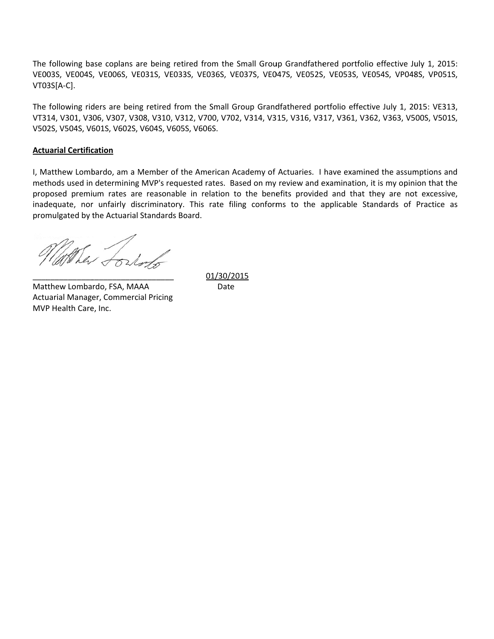The following base coplans are being retired from the Small Group Grandfathered portfolio effective July 1, 2015: VE003S, VE004S, VE006S, VE031S, VE033S, VE036S, VE037S, VE047S, VE052S, VE053S, VE054S, VP048S, VP051S, VT0 03S[A‐C].

The following riders are being retired from the Small Group Grandfathered portfolio effective July 1, 2015: VE313, VT314, V301, V306, V307, V308, V310, V312, V700, V702, V314, V315, V316, V317, V361, V362, V363, V500S, V501S, V502S, V504S, V601S, V602S, V604S, V605S, V606S.

### **Actu uarial Certific cation**

I, Matthew Lombardo, am a Member of the American Academy of Actuaries. I have examined the assumptions and methods used in determining MVP's requested rates. Based on my review and examination, it is my opinion that the proposed premium rates are reasonable in relation to the benefits provided and that they are not excessive, inadequate, nor unfairly discriminatory. This rate filing conforms to the applicable Standards of Practice as promulgated by the Actuarial Standards Board. e Small Group Grandfathe<br>VE037S, VE047S, VE052S,<br>Group Grandfathered por<br>02, V314, V315, V316, V31<br>Academy of Actuaries. I l<br>Based on my review and e:<br>to the benefits provided<br>filing conforms to the a<sub>l</sub><br>2015

the forland

 $\overline{\phantom{a}}$ Matthew Lombardo, FSA, MAAA Actu uarial Manag er, Commerc ial Pricing MVP Health Care, Inc. \_\_\_\_\_\_\_\_\_\_\_ \_\_\_\_\_\_\_\_\_\_\_  $\overline{\phantom{a}}$  , and the contract of  $\overline{\phantom{a}}$ 

01/30/2015 Date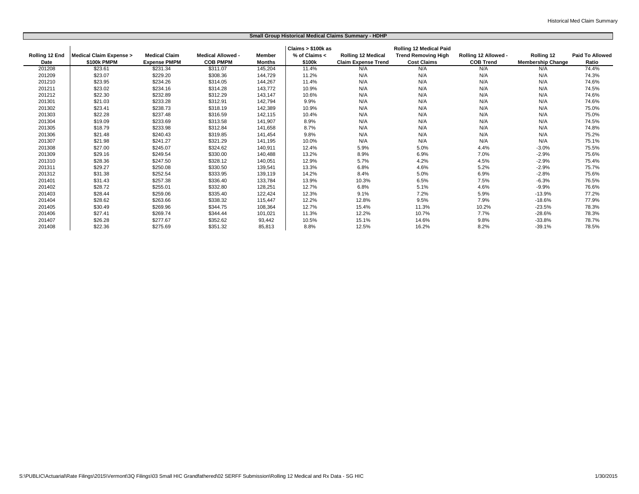|                | Small Group Historical Medical Claims Summary - HDHP |                      |                          |               |                    |                            |                                |                      |                          |                        |
|----------------|------------------------------------------------------|----------------------|--------------------------|---------------|--------------------|----------------------------|--------------------------------|----------------------|--------------------------|------------------------|
|                |                                                      |                      |                          |               | Claims > \$100k as |                            | <b>Rolling 12 Medical Paid</b> |                      |                          |                        |
| Rolling 12 End | <b>Medical Claim Expense &gt;</b>                    | <b>Medical Claim</b> | <b>Medical Allowed -</b> | Member        | % of Claims <      | <b>Rolling 12 Medical</b>  | <b>Trend Removing High</b>     | Rolling 12 Allowed - | Rolling 12               | <b>Paid To Allowed</b> |
| Date           | \$100k PMPM                                          | <b>Expense PMPM</b>  | <b>COB PMPM</b>          | <b>Months</b> | \$100k             | <b>Claim Expense Trend</b> | <b>Cost Claims</b>             | <b>COB Trend</b>     | <b>Membership Change</b> | Ratio                  |
| 201208         | \$23.61                                              | \$231.34             | \$311.07                 | 145,204       | 11.4%              | N/A                        | N/A                            | N/A                  | N/A                      | 74.4%                  |
| 201209         | \$23.07                                              | \$229.20             | \$308.36                 | 144,729       | 11.2%              | N/A                        | N/A                            | N/A                  | N/A                      | 74.3%                  |
| 201210         | \$23.95                                              | \$234.26             | \$314.05                 | 144,267       | 11.4%              | N/A                        | N/A                            | N/A                  | N/A                      | 74.6%                  |
| 201211         | \$23.02                                              | \$234.16             | \$314.28                 | 143,772       | 10.9%              | N/A                        | N/A                            | N/A                  | N/A                      | 74.5%                  |
| 201212         | \$22.30                                              | \$232.89             | \$312.29                 | 143,147       | 10.6%              | N/A                        | N/A                            | N/A                  | N/A                      | 74.6%                  |
| 201301         | \$21.03                                              | \$233.28             | \$312.91                 | 142,794       | 9.9%               | N/A                        | N/A                            | N/A                  | N/A                      | 74.6%                  |
| 201302         | \$23.41                                              | \$238.73             | \$318.19                 | 142,389       | 10.9%              | N/A                        | N/A                            | N/A                  | N/A                      | 75.0%                  |
| 201303         | \$22.28                                              | \$237.48             | \$316.59                 | 142,115       | 10.4%              | N/A                        | N/A                            | N/A                  | N/A                      | 75.0%                  |
| 201304         | \$19.09                                              | \$233.69             | \$313.58                 | 141,907       | 8.9%               | N/A                        | N/A                            | N/A                  | N/A                      | 74.5%                  |
| 201305         | \$18.79                                              | \$233.98             | \$312.84                 | 141,658       | 8.7%               | N/A                        | N/A                            | N/A                  | N/A                      | 74.8%                  |
| 201306         | \$21.48                                              | \$240.43             | \$319.85                 | 141,454       | 9.8%               | N/A                        | N/A                            | N/A                  | N/A                      | 75.2%                  |
| 201307         | \$21.98                                              | \$241.27             | \$321.29                 | 141,195       | 10.0%              | N/A                        | N/A                            | N/A                  | N/A                      | 75.1%                  |
| 201308         | \$27.00                                              | \$245.07             | \$324.62                 | 140,911       | 12.4%              | 5.9%                       | 5.0%                           | 4.4%                 | $-3.0%$                  | 75.5%                  |
| 201309         | \$29.16                                              | \$249.54             | \$330.00                 | 140,488       | 13.2%              | 8.9%                       | 6.9%                           | 7.0%                 | $-2.9%$                  | 75.6%                  |
| 201310         | \$28.36                                              | \$247.50             | \$328.12                 | 140,051       | 12.9%              | 5.7%                       | 4.2%                           | 4.5%                 | $-2.9%$                  | 75.4%                  |
| 201311         | \$29.27                                              | \$250.08             | \$330.50                 | 139,541       | 13.3%              | 6.8%                       | 4.6%                           | 5.2%                 | $-2.9%$                  | 75.7%                  |
| 201312         | \$31.38                                              | \$252.54             | \$333.95                 | 139,119       | 14.2%              | 8.4%                       | 5.0%                           | 6.9%                 | $-2.8%$                  | 75.6%                  |
| 201401         | \$31.43                                              | \$257.38             | \$336.40                 | 133,784       | 13.9%              | 10.3%                      | 6.5%                           | 7.5%                 | $-6.3%$                  | 76.5%                  |
| 201402         | \$28.72                                              | \$255.01             | \$332.80                 | 128,251       | 12.7%              | 6.8%                       | 5.1%                           | 4.6%                 | $-9.9%$                  | 76.6%                  |
| 201403         | \$28.44                                              | \$259.06             | \$335.40                 | 122,424       | 12.3%              | 9.1%                       | 7.2%                           | 5.9%                 | $-13.9%$                 | 77.2%                  |
| 201404         | \$28.62                                              | \$263.66             | \$338.32                 | 115,447       | 12.2%              | 12.8%                      | 9.5%                           | 7.9%                 | $-18.6%$                 | 77.9%                  |
| 201405         | \$30.49                                              | \$269.96             | \$344.75                 | 108,364       | 12.7%              | 15.4%                      | 11.3%                          | 10.2%                | $-23.5%$                 | 78.3%                  |
| 201406         | \$27.41                                              | \$269.74             | \$344.44                 | 101,021       | 11.3%              | 12.2%                      | 10.7%                          | 7.7%                 | $-28.6%$                 | 78.3%                  |
| 201407         | \$26.28                                              | \$277.67             | \$352.62                 | 93,442        | 10.5%              | 15.1%                      | 14.6%                          | 9.8%                 | $-33.8%$                 | 78.7%                  |
| 201408         | \$22.36                                              | \$275.69             | \$351.32                 | 85,813        | 8.8%               | 12.5%                      | 16.2%                          | 8.2%                 | $-39.1%$                 | 78.5%                  |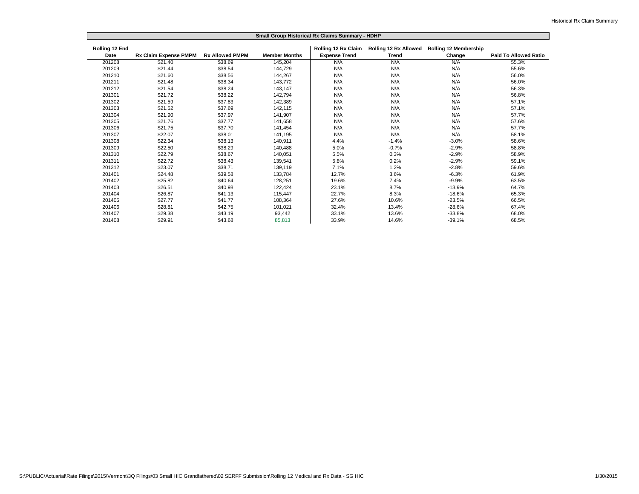|                | Small Group Historical Rx Claims Summary - HDHP |                        |                      |                      |                                       |                              |                       |  |  |
|----------------|-------------------------------------------------|------------------------|----------------------|----------------------|---------------------------------------|------------------------------|-----------------------|--|--|
| Rolling 12 End | <b>Rx Claim Expense PMPM</b>                    | <b>Rx Allowed PMPM</b> | <b>Member Months</b> | Rolling 12 Rx Claim  | Rolling 12 Rx Allowed<br><b>Trend</b> | <b>Rolling 12 Membership</b> |                       |  |  |
| Date           |                                                 |                        |                      | <b>Expense Trend</b> |                                       | Change                       | Paid To Allowed Ratio |  |  |
| 201208         | \$21.40                                         | \$38.69                | 145,204              | N/A                  | N/A                                   | N/A                          | 55.3%                 |  |  |
| 201209         | \$21.44                                         | \$38.54                | 144,729              | N/A                  | N/A                                   | N/A                          | 55.6%                 |  |  |
| 201210         | \$21.60                                         | \$38.56                | 144,267              | N/A                  | N/A                                   | N/A                          | 56.0%                 |  |  |
| 201211         | \$21.48                                         | \$38.34                | 143,772              | N/A                  | N/A                                   | N/A                          | 56.0%                 |  |  |
| 201212         | \$21.54                                         | \$38.24                | 143,147              | N/A                  | N/A                                   | N/A                          | 56.3%                 |  |  |
| 201301         | \$21.72                                         | \$38.22                | 142,794              | N/A                  | N/A                                   | N/A                          | 56.8%                 |  |  |
| 201302         | \$21.59                                         | \$37.83                | 142,389              | N/A                  | N/A                                   | N/A                          | 57.1%                 |  |  |
| 201303         | \$21.52                                         | \$37.69                | 142,115              | N/A                  | N/A                                   | N/A                          | 57.1%                 |  |  |
| 201304         | \$21.90                                         | \$37.97                | 141,907              | N/A                  | N/A                                   | N/A                          | 57.7%                 |  |  |
| 201305         | \$21.76                                         | \$37.77                | 141,658              | N/A                  | N/A                                   | N/A                          | 57.6%                 |  |  |
| 201306         | \$21.75                                         | \$37.70                | 141,454              | N/A                  | N/A                                   | N/A                          | 57.7%                 |  |  |
| 201307         | \$22.07                                         | \$38.01                | 141,195              | N/A                  | N/A                                   | N/A                          | 58.1%                 |  |  |
| 201308         | \$22.34                                         | \$38.13                | 140,911              | 4.4%                 | $-1.4%$                               | $-3.0%$                      | 58.6%                 |  |  |
| 201309         | \$22.50                                         | \$38.29                | 140.488              | 5.0%                 | $-0.7%$                               | $-2.9%$                      | 58.8%                 |  |  |
| 201310         | \$22.79                                         | \$38.67                | 140.051              | 5.5%                 | 0.3%                                  | $-2.9%$                      | 58.9%                 |  |  |
| 201311         | \$22.72                                         | \$38.43                | 139,541              | 5.8%                 | 0.2%                                  | $-2.9%$                      | 59.1%                 |  |  |
| 201312         | \$23.07                                         | \$38.71                | 139,119              | 7.1%                 | 1.2%                                  | $-2.8%$                      | 59.6%                 |  |  |
| 201401         | \$24.48                                         | \$39.58                | 133,784              | 12.7%                | 3.6%                                  | $-6.3%$                      | 61.9%                 |  |  |
| 201402         | \$25.82                                         | \$40.64                | 128,251              | 19.6%                | 7.4%                                  | $-9.9%$                      | 63.5%                 |  |  |
| 201403         | \$26.51                                         | \$40.98                | 122,424              | 23.1%                | 8.7%                                  | $-13.9%$                     | 64.7%                 |  |  |
| 201404         | \$26.87                                         | \$41.13                | 115,447              | 22.7%                | 8.3%                                  | $-18.6%$                     | 65.3%                 |  |  |
| 201405         | \$27.77                                         | \$41.77                | 108,364              | 27.6%                | 10.6%                                 | $-23.5%$                     | 66.5%                 |  |  |
| 201406         | \$28.81                                         | \$42.75                | 101,021              | 32.4%                | 13.4%                                 | $-28.6%$                     | 67.4%                 |  |  |
| 201407         | \$29.38                                         | \$43.19                | 93,442               | 33.1%                | 13.6%                                 | $-33.8%$                     | 68.0%                 |  |  |
| 201408         | \$29.91                                         | \$43.68                | 85.813               | 33.9%                | 14.6%                                 | $-39.1%$                     | 68.5%                 |  |  |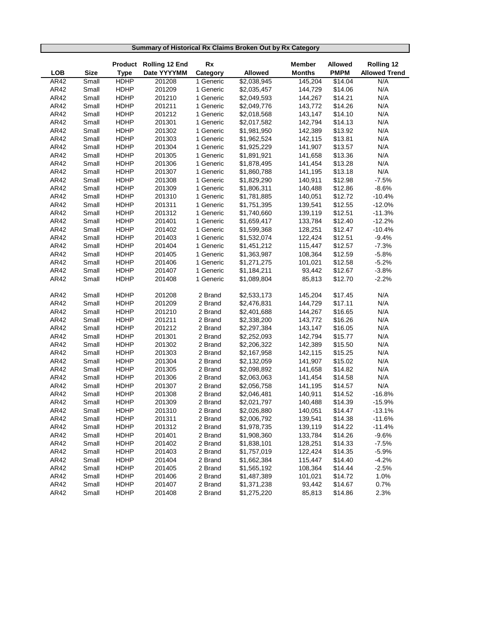|                    | Summary of Historical Rx Claims Broken Out by Rx Category |                            |                                       |                       |                        |                          |                        |                                           |  |  |  |
|--------------------|-----------------------------------------------------------|----------------------------|---------------------------------------|-----------------------|------------------------|--------------------------|------------------------|-------------------------------------------|--|--|--|
|                    |                                                           |                            |                                       |                       |                        |                          |                        |                                           |  |  |  |
|                    |                                                           |                            | Product Rolling 12 End<br>Date YYYYMM | Rx                    |                        | <b>Member</b>            | <b>Allowed</b>         | <b>Rolling 12</b><br><b>Allowed Trend</b> |  |  |  |
| <b>LOB</b><br>AR42 | <b>Size</b><br>Small                                      | <b>Type</b><br><b>HDHP</b> | 201208                                | Category<br>1 Generic | Allowed<br>\$2,038,945 | <b>Months</b><br>145,204 | <b>PMPM</b><br>\$14.04 | N/A                                       |  |  |  |
| AR42               | Small                                                     | <b>HDHP</b>                | 201209                                | 1 Generic             | \$2,035,457            | 144,729                  | \$14.06                | N/A                                       |  |  |  |
| AR42               | Small                                                     | <b>HDHP</b>                | 201210                                | 1 Generic             | \$2,049,593            | 144,267                  | \$14.21                | N/A                                       |  |  |  |
| AR42               | Small                                                     | <b>HDHP</b>                | 201211                                | 1 Generic             | \$2,049,776            | 143,772                  | \$14.26                | N/A                                       |  |  |  |
| AR42               | Small                                                     | <b>HDHP</b>                | 201212                                | 1 Generic             | \$2,018,568            | 143,147                  | \$14.10                | N/A                                       |  |  |  |
| AR42               | Small                                                     | <b>HDHP</b>                | 201301                                | 1 Generic             | \$2,017,582            | 142,794                  | \$14.13                | N/A                                       |  |  |  |
| AR42               | Small                                                     | <b>HDHP</b>                | 201302                                | 1 Generic             | \$1,981,950            | 142,389                  | \$13.92                | N/A                                       |  |  |  |
| AR42               | Small                                                     | <b>HDHP</b>                | 201303                                | 1 Generic             | \$1,962,524            | 142,115                  | \$13.81                | N/A                                       |  |  |  |
| AR42               | Small                                                     | <b>HDHP</b>                | 201304                                | 1 Generic             | \$1,925,229            | 141,907                  | \$13.57                | N/A                                       |  |  |  |
| AR42               | Small                                                     | <b>HDHP</b>                | 201305                                | 1 Generic             | \$1,891,921            | 141,658                  | \$13.36                | N/A                                       |  |  |  |
| AR42               | Small                                                     | <b>HDHP</b>                | 201306                                | 1 Generic             | \$1,878,495            | 141,454                  | \$13.28                | N/A                                       |  |  |  |
| AR42               | Small                                                     | <b>HDHP</b>                | 201307                                | 1 Generic             | \$1,860,788            | 141,195                  | \$13.18                | N/A                                       |  |  |  |
| AR42               | Small                                                     | <b>HDHP</b>                | 201308                                | 1 Generic             | \$1,829,290            | 140,911                  | \$12.98                | $-7.5%$                                   |  |  |  |
| AR42               | Small                                                     | <b>HDHP</b>                | 201309                                | 1 Generic             | \$1,806,311            | 140,488                  | \$12.86                | $-8.6%$                                   |  |  |  |
| AR42               | Small                                                     | <b>HDHP</b>                | 201310                                | 1 Generic             | \$1,781,885            | 140,051                  | \$12.72                | $-10.4%$                                  |  |  |  |
| AR42               | Small                                                     | <b>HDHP</b>                | 201311                                | 1 Generic             | \$1,751,395            | 139,541                  | \$12.55                | $-12.0%$                                  |  |  |  |
| AR42               | Small                                                     | <b>HDHP</b>                | 201312                                | 1 Generic             | \$1,740,660            | 139,119                  | \$12.51                | $-11.3%$                                  |  |  |  |
| AR42               | Small                                                     | <b>HDHP</b>                | 201401                                | 1 Generic             | \$1,659,417            | 133,784                  | \$12.40                | $-12.2%$                                  |  |  |  |
| AR42               | Small                                                     | <b>HDHP</b>                | 201402                                | 1 Generic             | \$1,599,368            | 128,251                  | \$12.47                | $-10.4%$                                  |  |  |  |
| AR42               | Small                                                     | <b>HDHP</b>                | 201403                                | 1 Generic             | \$1,532,074            | 122,424                  | \$12.51                | $-9.4%$                                   |  |  |  |
| AR42               | Small                                                     | <b>HDHP</b>                | 201404                                | 1 Generic             | \$1,451,212            | 115,447                  | \$12.57                | $-7.3%$                                   |  |  |  |
| AR42               | Small                                                     | <b>HDHP</b>                | 201405                                | 1 Generic             | \$1,363,987            | 108,364                  | \$12.59                | $-5.8%$                                   |  |  |  |
| AR42               | Small                                                     | <b>HDHP</b>                | 201406                                | 1 Generic             | \$1,271,275            | 101,021                  | \$12.58                | $-5.2%$                                   |  |  |  |
| AR42               | Small                                                     | <b>HDHP</b>                | 201407                                | 1 Generic             | \$1,184,211            | 93,442                   | \$12.67                | $-3.8%$                                   |  |  |  |
| AR42               | Small                                                     | <b>HDHP</b>                | 201408                                | 1 Generic             | \$1,089,804            | 85,813                   | \$12.70                | $-2.2%$                                   |  |  |  |
|                    |                                                           |                            |                                       |                       |                        |                          |                        |                                           |  |  |  |
| AR42               | Small                                                     | <b>HDHP</b>                | 201208                                | 2 Brand               | \$2,533,173            | 145,204                  | \$17.45                | N/A                                       |  |  |  |
| AR42               | Small                                                     | <b>HDHP</b>                | 201209                                | 2 Brand               | \$2,476,831            | 144,729                  | \$17.11                | N/A                                       |  |  |  |
| AR42               | Small                                                     | <b>HDHP</b>                | 201210                                | 2 Brand               | \$2,401,688            | 144,267                  | \$16.65                | N/A                                       |  |  |  |
| AR42               | Small                                                     | <b>HDHP</b>                | 201211                                | 2 Brand               | \$2,338,200            | 143,772                  | \$16.26                | N/A                                       |  |  |  |
| AR42               | Small                                                     | <b>HDHP</b>                | 201212                                | 2 Brand               | \$2,297,384            | 143,147                  | \$16.05                | N/A                                       |  |  |  |
| AR42               | Small                                                     | <b>HDHP</b>                | 201301                                | 2 Brand               | \$2,252,093            | 142,794                  | \$15.77                | N/A                                       |  |  |  |
| AR42               | Small                                                     | <b>HDHP</b>                | 201302                                | 2 Brand               | \$2,206,322            | 142,389                  | \$15.50                | N/A                                       |  |  |  |
| AR42               | Small                                                     | <b>HDHP</b>                | 201303                                | 2 Brand               | \$2,167,958            | 142,115                  | \$15.25                | N/A                                       |  |  |  |
| AR42               | Small                                                     | <b>HDHP</b>                | 201304                                | 2 Brand               | \$2,132,059            | 141,907                  | \$15.02                | N/A                                       |  |  |  |
| AR42               | Small                                                     | <b>HDHP</b>                | 201305                                | 2 Brand               | \$2,098,892            | 141,658                  | \$14.82                | N/A                                       |  |  |  |
| AR42               | Small                                                     | <b>HDHP</b>                | 201306                                | 2 Brand               | \$2,063,063            | 141,454                  | \$14.58                | N/A                                       |  |  |  |
| AR42               | Small                                                     | <b>HDHP</b>                | 201307                                | 2 Brand               | \$2,056,758            | 141,195                  | \$14.57                | N/A                                       |  |  |  |
| AR42               | Small                                                     | <b>HDHP</b>                | 201308                                | 2 Brand               | \$2,046,481            | 140,911                  | \$14.52                | $-16.8%$                                  |  |  |  |
| AR42               | Small                                                     | <b>HDHP</b>                | 201309                                | 2 Brand               | \$2,021,797            | 140,488                  | \$14.39                | $-15.9%$                                  |  |  |  |
| AR42               | Small                                                     | HDHP                       | 201310                                | 2 Brand               | \$2,026,880            | 140,051                  | \$14.47                | $-13.1%$                                  |  |  |  |
| AR42               | Small                                                     | <b>HDHP</b>                | 201311                                | 2 Brand               | \$2,006,792            | 139,541                  | \$14.38                | $-11.6%$                                  |  |  |  |
| AR42               | Small                                                     | HDHP                       | 201312                                | 2 Brand               | \$1,978,735            | 139,119                  | \$14.22                | $-11.4%$                                  |  |  |  |
| AR42               | Small                                                     | HDHP                       | 201401                                | 2 Brand               | \$1,908,360            | 133,784                  | \$14.26                | $-9.6%$                                   |  |  |  |
| AR42               | Small                                                     | HDHP                       | 201402                                | 2 Brand               | \$1,838,101            | 128,251                  | \$14.33                | $-7.5%$                                   |  |  |  |
| AR42               | Small                                                     | HDHP                       | 201403                                | 2 Brand               | \$1,757,019            | 122,424                  | \$14.35                | $-5.9%$                                   |  |  |  |
| AR42               | Small                                                     | HDHP                       | 201404                                | 2 Brand               | \$1,662,384            | 115,447                  | \$14.40                | $-4.2%$                                   |  |  |  |
| AR42               | Small                                                     | HDHP                       | 201405                                | 2 Brand               | \$1,565,192            | 108,364                  | \$14.44                | $-2.5%$                                   |  |  |  |
| AR42               | Small                                                     | HDHP                       | 201406                                | 2 Brand               | \$1,487,389            | 101,021                  | \$14.72                | 1.0%                                      |  |  |  |
| AR42               | Small                                                     | HDHP                       | 201407                                | 2 Brand               | \$1,371,238            | 93,442                   | \$14.67                | 0.7%                                      |  |  |  |
| AR42               | Small                                                     | HDHP                       | 201408                                | 2 Brand               | \$1,275,220            | 85,813                   | \$14.86                | 2.3%                                      |  |  |  |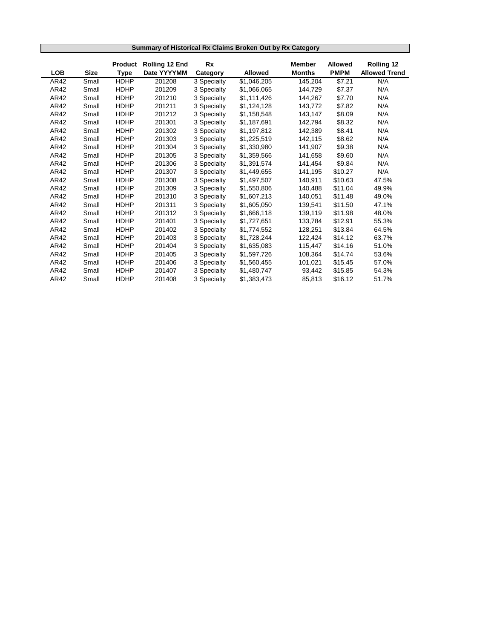|      | Summary of Historical Rx Claims Broken Out by Rx Category |                |                       |             |                        |               |                |                      |  |  |
|------|-----------------------------------------------------------|----------------|-----------------------|-------------|------------------------|---------------|----------------|----------------------|--|--|
|      |                                                           | <b>Product</b> | <b>Rolling 12 End</b> | Rx          |                        | <b>Member</b> | <b>Allowed</b> | Rolling 12           |  |  |
| LOB  | <b>Size</b>                                               | <b>Type</b>    | Date YYYYMM           | Category    | <b>Allowed</b>         | <b>Months</b> | <b>PMPM</b>    | <b>Allowed Trend</b> |  |  |
| AR42 | Small                                                     | <b>HDHP</b>    | 201208                | 3 Specialty | $\overline{1,046,205}$ | 145,204       | \$7.21         | N/A                  |  |  |
| AR42 | Small                                                     | <b>HDHP</b>    | 201209                | 3 Specialty | \$1,066,065            | 144,729       | \$7.37         | N/A                  |  |  |
| AR42 | Small                                                     | <b>HDHP</b>    | 201210                | 3 Specialty | \$1,111,426            | 144,267       | \$7.70         | N/A                  |  |  |
| AR42 | Small                                                     | <b>HDHP</b>    | 201211                | 3 Specialty | \$1,124,128            | 143,772       | \$7.82         | N/A                  |  |  |
| AR42 | Small                                                     | <b>HDHP</b>    | 201212                | 3 Specialty | \$1,158,548            | 143,147       | \$8.09         | N/A                  |  |  |
| AR42 | Small                                                     | HDHP           | 201301                | 3 Specialty | \$1,187,691            | 142,794       | \$8.32         | N/A                  |  |  |
| AR42 | Small                                                     | <b>HDHP</b>    | 201302                | 3 Specialty | \$1,197,812            | 142,389       | \$8.41         | N/A                  |  |  |
| AR42 | Small                                                     | <b>HDHP</b>    | 201303                | 3 Specialty | \$1,225,519            | 142,115       | \$8.62         | N/A                  |  |  |
| AR42 | Small                                                     | <b>HDHP</b>    | 201304                | 3 Specialty | \$1,330,980            | 141,907       | \$9.38         | N/A                  |  |  |
| AR42 | Small                                                     | <b>HDHP</b>    | 201305                | 3 Specialty | \$1,359,566            | 141,658       | \$9.60         | N/A                  |  |  |
| AR42 | Small                                                     | <b>HDHP</b>    | 201306                | 3 Specialty | \$1,391,574            | 141,454       | \$9.84         | N/A                  |  |  |
| AR42 | Small                                                     | <b>HDHP</b>    | 201307                | 3 Specialty | \$1,449,655            | 141,195       | \$10.27        | N/A                  |  |  |
| AR42 | Small                                                     | <b>HDHP</b>    | 201308                | 3 Specialty | \$1,497,507            | 140,911       | \$10.63        | 47.5%                |  |  |
| AR42 | Small                                                     | <b>HDHP</b>    | 201309                | 3 Specialty | \$1,550,806            | 140.488       | \$11.04        | 49.9%                |  |  |
| AR42 | Small                                                     | <b>HDHP</b>    | 201310                | 3 Specialty | \$1,607,213            | 140,051       | \$11.48        | 49.0%                |  |  |
| AR42 | Small                                                     | <b>HDHP</b>    | 201311                | 3 Specialty | \$1,605,050            | 139,541       | \$11.50        | 47.1%                |  |  |
| AR42 | Small                                                     | <b>HDHP</b>    | 201312                | 3 Specialty | \$1,666,118            | 139,119       | \$11.98        | 48.0%                |  |  |
| AR42 | Small                                                     | <b>HDHP</b>    | 201401                | 3 Specialty | \$1,727,651            | 133,784       | \$12.91        | 55.3%                |  |  |
| AR42 | Small                                                     | <b>HDHP</b>    | 201402                | 3 Specialty | \$1,774,552            | 128,251       | \$13.84        | 64.5%                |  |  |
| AR42 | Small                                                     | <b>HDHP</b>    | 201403                | 3 Specialty | \$1,728,244            | 122,424       | \$14.12        | 63.7%                |  |  |
| AR42 | Small                                                     | HDHP           | 201404                | 3 Specialty | \$1,635,083            | 115,447       | \$14.16        | 51.0%                |  |  |
| AR42 | Small                                                     | <b>HDHP</b>    | 201405                | 3 Specialty | \$1,597,726            | 108,364       | \$14.74        | 53.6%                |  |  |
| AR42 | Small                                                     | <b>HDHP</b>    | 201406                | 3 Specialty | \$1,560,455            | 101,021       | \$15.45        | 57.0%                |  |  |
| AR42 | Small                                                     | <b>HDHP</b>    | 201407                | 3 Specialty | \$1,480,747            | 93,442        | \$15.85        | 54.3%                |  |  |
| AR42 | Small                                                     | <b>HDHP</b>    | 201408                | 3 Specialty | \$1,383,473            | 85,813        | \$16.12        | 51.7%                |  |  |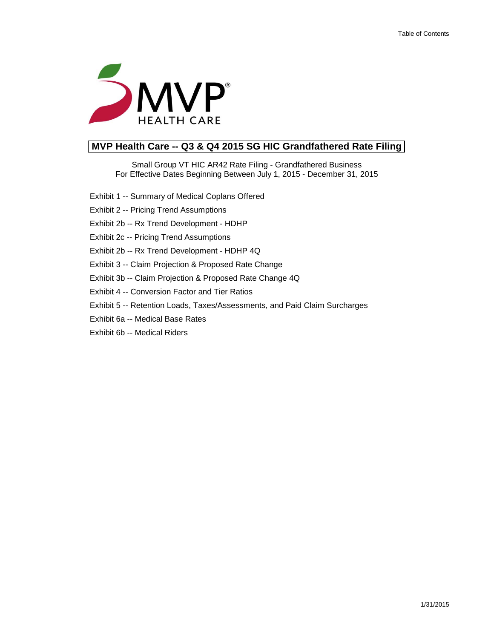

# **MVP Health Care -- Q3 & Q4 2015 SG HIC Grandfathered Rate Filing**

Small Group VT HIC AR42 Rate Filing - Grandfathered Business For Effective Dates Beginning Between July 1, 2015 - December 31, 2015

- Exhibit 1 -- Summary of Medical Coplans Offered
- Exhibit 2 -- Pricing Trend Assumptions
- Exhibit 2b -- Rx Trend Development HDHP

Exhibit 2c -- Pricing Trend Assumptions

Exhibit 2b -- Rx Trend Development - HDHP 4Q

Exhibit 3 -- Claim Projection & Proposed Rate Change

Exhibit 3b -- Claim Projection & Proposed Rate Change 4Q

Exhibit 4 -- Conversion Factor and Tier Ratios

- Exhibit 5 -- Retention Loads, Taxes/Assessments, and Paid Claim Surcharges
- Exhibit 6a -- Medical Base Rates
- Exhibit 6b -- Medical Riders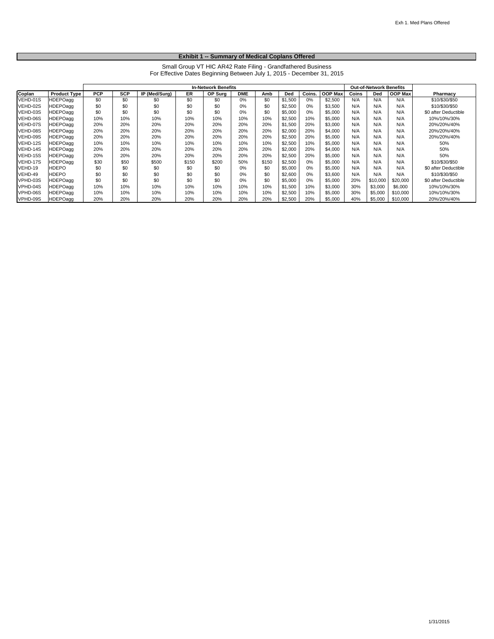#### **Exhibit 1 -- Summary of Medical Coplans Offered**

Small Group VT HIC AR42 Rate Filing - Grandfathered Business For Effective Dates Beginning Between July 1, 2015 - December 31, 2015

|          |                     |            | <b>In-Network Benefits</b> |               |       |         |            |       |         |        |                | <b>Out-of-Network Benefits</b> |          |                |                      |
|----------|---------------------|------------|----------------------------|---------------|-------|---------|------------|-------|---------|--------|----------------|--------------------------------|----------|----------------|----------------------|
| Coplan   | <b>Product Type</b> | <b>PCP</b> | <b>SCP</b>                 | IP (Med/Surg) | ER    | OP Surg | <b>DME</b> | Amb   | Ded     | Coins. | <b>OOP Max</b> | Coins                          | Ded      | <b>OOP Max</b> | Pharmacy             |
| VEHD-01S | <b>HDEPOagg</b>     | \$0        | \$0                        | \$0           | \$0   | \$0     | 0%         | \$0   | \$1,500 | 0%     | \$2,500        | N/A                            | N/A      | N/A            | \$10/\$30/\$50       |
| VEHD-02S | HDEPOagg            | \$0        | \$0                        | \$0           | \$0   | \$0     | 0%         | \$0   | \$2,500 | 0%     | \$3,500        | N/A                            | N/A      | N/A            | \$10/\$30/\$50       |
| VEHD-03S | <b>HDEPOagg</b>     | \$0        | \$0                        | \$0           | \$0   | \$0     | 0%         | \$0   | \$5,000 | 0%     | \$5,000        | N/A                            | N/A      | N/A            | \$0 after Deductible |
| VEHD-06S | <b>HDEPOagg</b>     | 10%        | 10%                        | 10%           | 10%   | 10%     | 10%        | 10%   | \$2,500 | 10%    | \$5,000        | N/A                            | N/A      | N/A            | 10%/10%/30%          |
| VEHD-07S | <b>HDEPOagg</b>     | 20%        | 20%                        | 20%           | 20%   | 20%     | 20%        | 20%   | \$1,500 | 20%    | \$3,000        | N/A                            | N/A      | N/A            | 20%/20%/40%          |
| VEHD-08S | <b>HDEPOagg</b>     | 20%        | 20%                        | 20%           | 20%   | 20%     | 20%        | 20%   | \$2,000 | 20%    | \$4,000        | N/A                            | N/A      | N/A            | 20%/20%/40%          |
| VEHD-09S | <b>HDEPOagg</b>     | 20%        | 20%                        | 20%           | 20%   | 20%     | 20%        | 20%   | \$2,500 | 20%    | \$5,000        | N/A                            | N/A      | N/A            | 20%/20%/40%          |
| VEHD-12S | <b>HDEPOagg</b>     | 10%        | 10%                        | 10%           | 10%   | 10%     | 10%        | 10%   | \$2,500 | 10%    | \$5,000        | N/A                            | N/A      | N/A            | 50%                  |
| VEHD-14S | HDEPOagg            | 20%        | 20%                        | 20%           | 20%   | 20%     | 20%        | 20%   | \$2,000 | 20%    | \$4,000        | N/A                            | N/A      | N/A            | 50%                  |
| VEHD-15S | <b>HDEPOagg</b>     | 20%        | 20%                        | 20%           | 20%   | 20%     | 20%        | 20%   | \$2,500 | 20%    | \$5,000        | N/A                            | N/A      | N/A            | 50%                  |
| VEHD-17S | <b>HDEPOagg</b>     | \$30       | \$50                       | \$500         | \$150 | \$200   | 50%        | \$150 | \$2,500 | 0%     | \$5,000        | N/A                            | N/A      | N/A            | \$10/\$30/\$50       |
| VEHD-19  | <b>HDEPO</b>        | \$0        | \$0                        | \$0           | \$0   | \$0     | 0%         | \$0   | \$5,000 | 0%     | \$5,000        | N/A                            | N/A      | N/A            | \$0 after Deductible |
| VEHD-49  | <b>HDEPO</b>        | \$0        | \$0                        | \$0           | \$0   | \$0     | 0%         | \$0   | \$2,600 | 0%     | \$3,600        | N/A                            | N/A      | N/A            | \$10/\$30/\$50       |
| VPHD-03S | HDEPOagg            | \$0        | \$0                        | \$0           | \$0   | \$0     | 0%         | \$0   | \$5,000 | 0%     | \$5,000        | 20%                            | \$10,000 | \$20,000       | \$0 after Deductible |
| VPHD-04S | <b>HDEPOagg</b>     | 10%        | 10%                        | 10%           | 10%   | 10%     | 10%        | 10%   | \$1,500 | 10%    | \$3,000        | 30%                            | \$3,000  | \$6,000        | 10%/10%/30%          |
| VPHD-06S | <b>HDEPOagg</b>     | 10%        | 10%                        | 10%           | 10%   | 10%     | 10%        | 10%   | \$2,500 | 10%    | \$5,000        | 30%                            | \$5,000  | \$10,000       | 10%/10%/30%          |
| VPHD-09S | HDEPOagg            | 20%        | 20%                        | 20%           | 20%   | 20%     | 20%        | 20%   | \$2,500 | 20%    | \$5,000        | 40%                            | \$5,000  | \$10,000       | 20%/20%/40%          |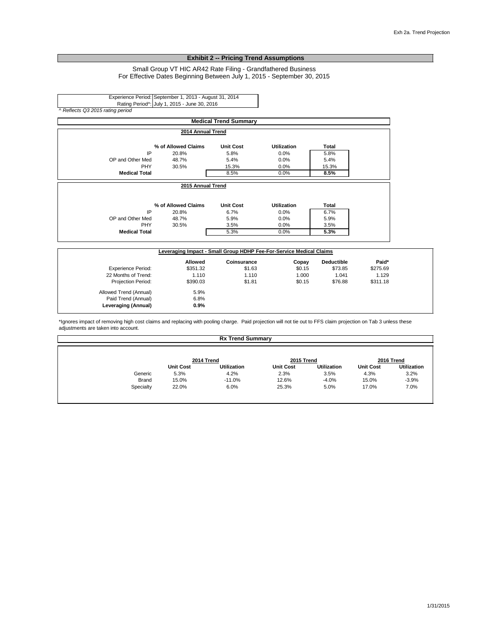#### **Exhibit 2 -- Pricing Trend Assumptions**

#### Small Group VT HIC AR42 Rate Filing - Grandfathered Business For Effective Dates Beginning Between July 1, 2015 - September 30, 2015

Experience Period: September 1, 2013 - August 31, 2014 Rating Period^: July 1, 2015 - June 30, 2016 *^ Reflects Q3 2015 rating period*

Leveraging (Annual)

|                           |                                                                     | <b>Medical Trend Summary</b> |                    |                   |          |
|---------------------------|---------------------------------------------------------------------|------------------------------|--------------------|-------------------|----------|
|                           | 2014 Annual Trend                                                   |                              |                    |                   |          |
|                           | % of Allowed Claims                                                 | <b>Unit Cost</b>             | <b>Utilization</b> | <b>Total</b>      |          |
| IP                        | 20.8%                                                               | 5.8%                         | 0.0%               | 5.8%              |          |
| OP and Other Med          | 48.7%                                                               | 5.4%                         | 0.0%               | 5.4%              |          |
| <b>PHY</b>                | 30.5%                                                               | 15.3%                        | 0.0%               | 15.3%             |          |
| <b>Medical Total</b>      |                                                                     | 8.5%                         | 0.0%               | 8.5%              |          |
|                           | 2015 Annual Trend                                                   |                              |                    |                   |          |
|                           | % of Allowed Claims                                                 | <b>Unit Cost</b>             | <b>Utilization</b> | <b>Total</b>      |          |
| IP                        | 20.8%                                                               | 6.7%                         | 0.0%               | 6.7%              |          |
| OP and Other Med          | 48.7%                                                               | 5.9%                         | 0.0%               | 5.9%              |          |
| PHY                       | 30.5%                                                               | 3.5%                         | 0.0%               | 3.5%              |          |
| <b>Medical Total</b>      |                                                                     | 5.3%                         | 0.0%               | 5.3%              |          |
|                           | Leveraging Impact - Small Group HDHP Fee-For-Service Medical Claims |                              |                    |                   |          |
|                           | <b>Allowed</b>                                                      | Coinsurance                  | Copay              | <b>Deductible</b> | Paid*    |
| <b>Experience Period:</b> | \$351.32                                                            | \$1.63                       | \$0.15             | \$73.85           | \$275.69 |
| 22 Months of Trend:       | 1.110                                                               | 1.110                        | 1.000              | 1.041             | 1.129    |
| <b>Projection Period:</b> | \$390.03                                                            | \$1.81                       | \$0.15             | \$76.88           | \$311.18 |
| Allowed Trend (Annual)    | 5.9%                                                                |                              |                    |                   |          |
| Paid Trend (Annual)       | 6.8%                                                                |                              |                    |                   |          |
| Leveraging (Annual)       | 0.9%                                                                |                              |                    |                   |          |

\*Ignores impact of removing high cost claims and replacing with pooling charge. Paid projection will not tie out to FFS claim projection on Tab 3 unless these adjustments are taken into account.

|              | <b>Rx Trend Summary</b> |                    |                  |                    |                  |                    |  |  |
|--------------|-------------------------|--------------------|------------------|--------------------|------------------|--------------------|--|--|
|              | 2014 Trend              |                    | 2015 Trend       |                    | 2016 Trend       |                    |  |  |
|              | <b>Unit Cost</b>        | <b>Utilization</b> | <b>Unit Cost</b> | <b>Utilization</b> | <b>Unit Cost</b> | <b>Utilization</b> |  |  |
| Generic      | 5.3%                    | 4.2%               | 2.3%             | 3.5%               | 4.3%             | 3.2%               |  |  |
| <b>Brand</b> | 15.0%                   | $-11.0%$           | 12.6%            | $-4.0%$            | 15.0%            | $-3.9%$            |  |  |
| Specialty    | 22.0%                   | 6.0%               | 25.3%            | 5.0%               | 17.0%            | 7.0%               |  |  |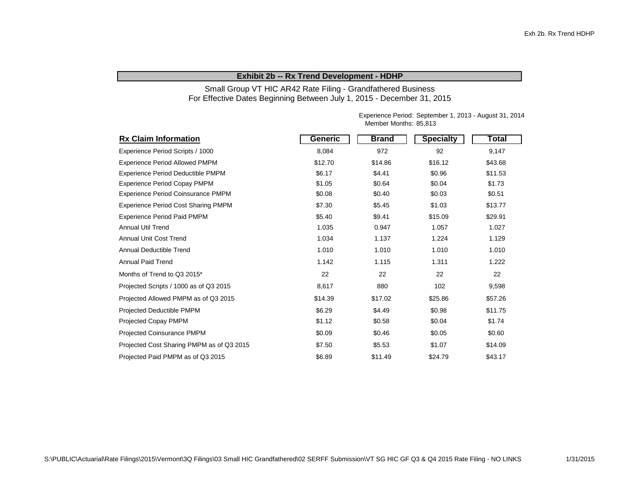#### **Exhibit 2b -- Rx Trend Development - HDHP**

Small Group VT HIC AR42 Rate Filing - Grandfathered Business For Effective Dates Beginning Between July 1, 2015 - December 31, 2015

> Experience Period: September 1, 2013 - August 31, 2014 Member Months: 85,813

| <b>Rx Claim Information</b>                | Generic | <b>Brand</b> | <b>Specialty</b> | Total   |
|--------------------------------------------|---------|--------------|------------------|---------|
| Experience Period Scripts / 1000           | 8,084   | 972          | 92               | 9,147   |
| <b>Experience Period Allowed PMPM</b>      | \$12.70 | \$14.86      | \$16.12          | \$43.68 |
| Experience Period Deductible PMPM          | \$6.17  | \$4.41       | \$0.96           | \$11.53 |
| <b>Experience Period Copay PMPM</b>        | \$1.05  | \$0.64       | \$0.04           | \$1.73  |
| Experience Period Coinsurance PMPM         | \$0.08  | \$0.40       | \$0.03           | \$0.51  |
| <b>Experience Period Cost Sharing PMPM</b> | \$7.30  | \$5.45       | \$1.03           | \$13.77 |
| <b>Experience Period Paid PMPM</b>         | \$5.40  | \$9.41       | \$15.09          | \$29.91 |
| <b>Annual Util Trend</b>                   | 1.035   | 0.947        | 1.057            | 1.027   |
| <b>Annual Unit Cost Trend</b>              | 1.034   | 1.137        | 1.224            | 1.129   |
| Annual Deductible Trend                    | 1.010   | 1.010        | 1.010            | 1.010   |
| <b>Annual Paid Trend</b>                   | 1.142   | 1.115        | 1.311            | 1.222   |
| Months of Trend to Q3 2015*                | 22      | 22           | 22               | 22      |
| Projected Scripts / 1000 as of Q3 2015     | 8,617   | 880          | 102              | 9,598   |
| Projected Allowed PMPM as of Q3 2015       | \$14.39 | \$17.02      | \$25.86          | \$57.26 |
| <b>Projected Deductible PMPM</b>           | \$6.29  | \$4.49       | \$0.98           | \$11.75 |
| Projected Copay PMPM                       | \$1.12  | \$0.58       | \$0.04           | \$1.74  |
| <b>Projected Coinsurance PMPM</b>          | \$0.09  | \$0.46       | \$0.05           | \$0.60  |
| Projected Cost Sharing PMPM as of Q3 2015  | \$7.50  | \$5.53       | \$1.07           | \$14.09 |
| Projected Paid PMPM as of Q3 2015          | \$6.89  | \$11.49      | \$24.79          | \$43.17 |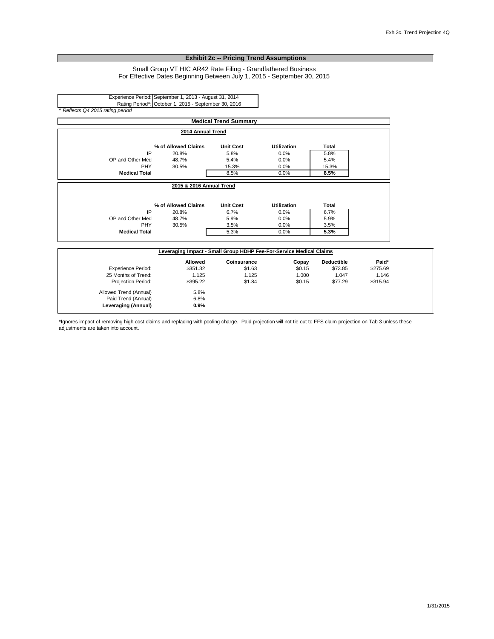#### **Exhibit 2c -- Pricing Trend Assumptions**

#### Small Group VT HIC AR42 Rate Filing - Grandfathered Business For Effective Dates Beginning Between July 1, 2015 - September 30, 2015

Experience Period: September 1, 2013 - August 31, 2014 Rating Period^: October 1, 2015 - September 30, 2016 *^ Reflects Q4 2015 rating period*

|                           |                                                                     | <b>Medical Trend Summary</b> |                    |                   |          |
|---------------------------|---------------------------------------------------------------------|------------------------------|--------------------|-------------------|----------|
|                           | 2014 Annual Trend                                                   |                              |                    |                   |          |
|                           | % of Allowed Claims                                                 | <b>Unit Cost</b>             | <b>Utilization</b> | Total             |          |
| IP                        | 20.8%                                                               | 5.8%                         | 0.0%               | 5.8%              |          |
| OP and Other Med          | 48.7%                                                               | 5.4%                         | 0.0%               | 5.4%              |          |
| PHY                       | 30.5%                                                               | 15.3%                        | 0.0%               | 15.3%             |          |
| <b>Medical Total</b>      |                                                                     | 8.5%                         | 0.0%               | 8.5%              |          |
|                           | 2015 & 2016 Annual Trend                                            |                              |                    |                   |          |
|                           | % of Allowed Claims                                                 | <b>Unit Cost</b>             | <b>Utilization</b> | <b>Total</b>      |          |
| IP                        | 20.8%                                                               | 6.7%                         | 0.0%               | 6.7%              |          |
| OP and Other Med          | 48.7%                                                               | 5.9%                         | 0.0%               | 5.9%              |          |
| <b>PHY</b>                | 30.5%                                                               | 3.5%                         | 0.0%               | 3.5%              |          |
| <b>Medical Total</b>      |                                                                     | 5.3%                         | 0.0%               | 5.3%              |          |
|                           | Leveraging Impact - Small Group HDHP Fee-For-Service Medical Claims |                              |                    |                   |          |
|                           | Allowed                                                             | Coinsurance                  | Copay              | <b>Deductible</b> | Paid*    |
| <b>Experience Period:</b> | \$351.32                                                            | \$1.63                       | \$0.15             | \$73.85           | \$275.69 |
| 25 Months of Trend:       | 1.125                                                               | 1.125                        | 1.000              | 1.047             | 1.146    |
| Projection Period:        | \$395.22                                                            | \$1.84                       | \$0.15             | \$77.29           | \$315.94 |
| Allowed Trend (Annual)    | 5.8%                                                                |                              |                    |                   |          |
|                           |                                                                     |                              |                    |                   |          |
| Paid Trend (Annual)       | 6.8%                                                                |                              |                    |                   |          |

\*Ignores impact of removing high cost claims and replacing with pooling charge. Paid projection will not tie out to FFS claim projection on Tab 3 unless these adjustments are taken into account.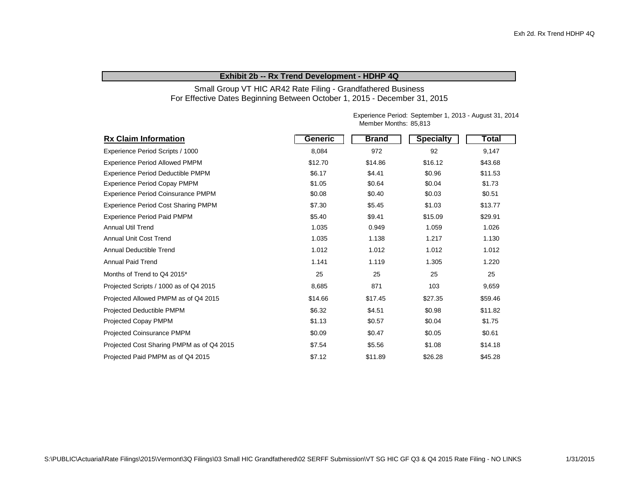#### **Exhibit 2b -- Rx Trend Development - HDHP 4Q**

#### Small Group VT HIC AR42 Rate Filing - Grandfathered Business For Effective Dates Beginning Between October 1, 2015 - December 31, 2015

Experience Period: September 1, 2013 - August 31, 2014 Member Months: 85,813

| <b>Rx Claim Information</b>                | Generic | <b>Brand</b> | <b>Specialty</b> | Total   |
|--------------------------------------------|---------|--------------|------------------|---------|
| Experience Period Scripts / 1000           | 8,084   | 972          | 92               | 9,147   |
| <b>Experience Period Allowed PMPM</b>      | \$12.70 | \$14.86      | \$16.12          | \$43.68 |
| Experience Period Deductible PMPM          | \$6.17  | \$4.41       | \$0.96           | \$11.53 |
| <b>Experience Period Copay PMPM</b>        | \$1.05  | \$0.64       | \$0.04           | \$1.73  |
| Experience Period Coinsurance PMPM         | \$0.08  | \$0.40       | \$0.03           | \$0.51  |
| <b>Experience Period Cost Sharing PMPM</b> | \$7.30  | \$5.45       | \$1.03           | \$13.77 |
| <b>Experience Period Paid PMPM</b>         | \$5.40  | \$9.41       | \$15.09          | \$29.91 |
| <b>Annual Util Trend</b>                   | 1.035   | 0.949        | 1.059            | 1.026   |
| <b>Annual Unit Cost Trend</b>              | 1.035   | 1.138        | 1.217            | 1.130   |
| Annual Deductible Trend                    | 1.012   | 1.012        | 1.012            | 1.012   |
| <b>Annual Paid Trend</b>                   | 1.141   | 1.119        | 1.305            | 1.220   |
| Months of Trend to Q4 2015*                | 25      | 25           | 25               | 25      |
| Projected Scripts / 1000 as of Q4 2015     | 8,685   | 871          | 103              | 9,659   |
| Projected Allowed PMPM as of Q4 2015       | \$14.66 | \$17.45      | \$27.35          | \$59.46 |
| Projected Deductible PMPM                  | \$6.32  | \$4.51       | \$0.98           | \$11.82 |
| <b>Projected Copay PMPM</b>                | \$1.13  | \$0.57       | \$0.04           | \$1.75  |
| Projected Coinsurance PMPM                 | \$0.09  | \$0.47       | \$0.05           | \$0.61  |
| Projected Cost Sharing PMPM as of Q4 2015  | \$7.54  | \$5.56       | \$1.08           | \$14.18 |
| Projected Paid PMPM as of Q4 2015          | \$7.12  | \$11.89      | \$26.28          | \$45.28 |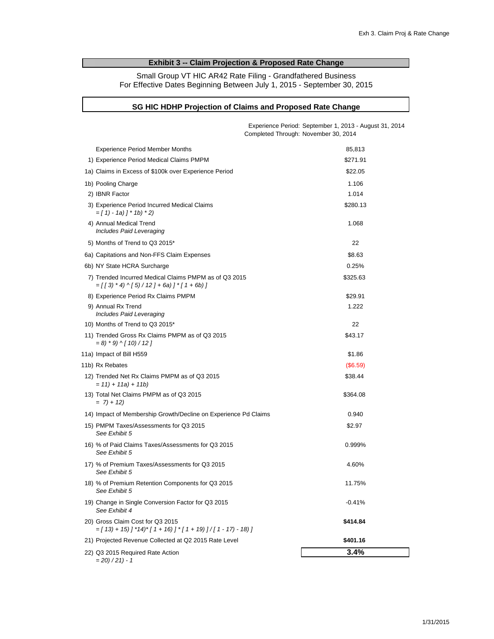### **Exhibit 3 -- Claim Projection & Proposed Rate Change**

Small Group VT HIC AR42 Rate Filing - Grandfathered Business For Effective Dates Beginning Between July 1, 2015 - September 30, 2015

#### **SG HIC HDHP Projection of Claims and Proposed Rate Change**

|                                                                                                         | Experience Period: September 1, 2013 - August 31, 2014<br>Completed Through: November 30, 2014 |
|---------------------------------------------------------------------------------------------------------|------------------------------------------------------------------------------------------------|
| <b>Experience Period Member Months</b>                                                                  | 85,813                                                                                         |
| 1) Experience Period Medical Claims PMPM                                                                | \$271.91                                                                                       |
| 1a) Claims in Excess of \$100k over Experience Period                                                   | \$22.05                                                                                        |
| 1b) Pooling Charge                                                                                      | 1.106                                                                                          |
| 2) IBNR Factor                                                                                          | 1.014                                                                                          |
| 3) Experience Period Incurred Medical Claims<br>$=$ [ 1) - 1a) ] * 1b) * 2)                             | \$280.13                                                                                       |
| 4) Annual Medical Trend<br>Includes Paid Leveraging                                                     | 1.068                                                                                          |
| 5) Months of Trend to Q3 2015*                                                                          | 22                                                                                             |
| 6a) Capitations and Non-FFS Claim Expenses                                                              | \$8.63                                                                                         |
| 6b) NY State HCRA Surcharge                                                                             | 0.25%                                                                                          |
| 7) Trended Incurred Medical Claims PMPM as of Q3 2015<br>$=$ [[3) * 4) ^ [5) / 12] + 6a) ] * [1 + 6b) ] | \$325.63                                                                                       |
| 8) Experience Period Rx Claims PMPM                                                                     | \$29.91                                                                                        |
| 9) Annual Rx Trend<br>Includes Paid Leveraging                                                          | 1.222                                                                                          |
| 10) Months of Trend to Q3 2015*                                                                         | 22                                                                                             |
| 11) Trended Gross Rx Claims PMPM as of Q3 2015<br>$= 8$ ) * 9) ^ [ 10) / 12 ]                           | \$43.17                                                                                        |
| 11a) Impact of Bill H559                                                                                | \$1.86                                                                                         |
| 11b) Rx Rebates                                                                                         | (\$6.59)                                                                                       |
| 12) Trended Net Rx Claims PMPM as of Q3 2015<br>$= 11 + 11a + 11b$                                      | \$38.44                                                                                        |
| 13) Total Net Claims PMPM as of Q3 2015<br>$= 7 + 12$                                                   | \$364.08                                                                                       |
| 14) Impact of Membership Growth/Decline on Experience Pd Claims                                         | 0.940                                                                                          |
| 15) PMPM Taxes/Assessments for Q3 2015<br>See Exhibit 5                                                 | \$2.97                                                                                         |
| 16) % of Paid Claims Taxes/Assessments for Q3 2015<br>See Exhibit 5                                     | 0.999%                                                                                         |
| 17) % of Premium Taxes/Assessments for Q3 2015<br>See Exhibit 5                                         | 4.60%                                                                                          |
| 18) % of Premium Retention Components for Q3 2015<br>See Exhibit 5                                      | 11.75%                                                                                         |
| 19) Change in Single Conversion Factor for Q3 2015<br>See Exhibit 4                                     | $-0.41%$                                                                                       |
| 20) Gross Claim Cost for Q3 2015<br>$=[13]+15]$ $[14]*[1+16]$ $[1+19]$ $]/[1-17)-18]$                   | \$414.84                                                                                       |
| 21) Projected Revenue Collected at Q2 2015 Rate Level                                                   | \$401.16                                                                                       |
| 22) Q3 2015 Required Rate Action<br>$= 20/21 - 1$                                                       | 3.4%                                                                                           |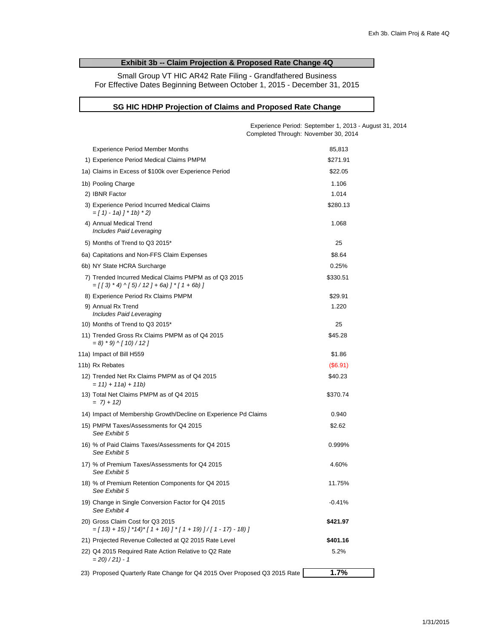### **Exhibit 3b -- Claim Projection & Proposed Rate Change 4Q**

Small Group VT HIC AR42 Rate Filing - Grandfathered Business For Effective Dates Beginning Between October 1, 2015 - December 31, 2015

#### **SG HIC HDHP Projection of Claims and Proposed Rate Change**

|                                                                                                          | Experience Period: September 1, 2013 - August 31, 2014<br>Completed Through: November 30, 2014 |
|----------------------------------------------------------------------------------------------------------|------------------------------------------------------------------------------------------------|
| <b>Experience Period Member Months</b>                                                                   | 85,813                                                                                         |
| 1) Experience Period Medical Claims PMPM                                                                 | \$271.91                                                                                       |
| 1a) Claims in Excess of \$100k over Experience Period                                                    | \$22.05                                                                                        |
| 1b) Pooling Charge                                                                                       | 1.106                                                                                          |
| 2) IBNR Factor                                                                                           | 1.014                                                                                          |
| 3) Experience Period Incurred Medical Claims<br>$=[1 - 1a]$ $] * 1b$ $* 2)$                              | \$280.13                                                                                       |
| 4) Annual Medical Trend<br>Includes Paid Leveraging                                                      | 1.068                                                                                          |
| 5) Months of Trend to Q3 2015*                                                                           | 25                                                                                             |
| 6a) Capitations and Non-FFS Claim Expenses                                                               | \$8.64                                                                                         |
| 6b) NY State HCRA Surcharge                                                                              | 0.25%                                                                                          |
| 7) Trended Incurred Medical Claims PMPM as of Q3 2015<br>$=$ [[3) * 4) ^ [5) / 12 ] + 6a) ] * [1 + 6b) ] | \$330.51                                                                                       |
| 8) Experience Period Rx Claims PMPM                                                                      | \$29.91                                                                                        |
| 9) Annual Rx Trend<br>Includes Paid Leveraging                                                           | 1.220                                                                                          |
| 10) Months of Trend to Q3 2015*                                                                          | 25                                                                                             |
| 11) Trended Gross Rx Claims PMPM as of Q4 2015<br>$= 8$ ) * 9) ^ [ 10) / 12 ]                            | \$45.28                                                                                        |
| 11a) Impact of Bill H559                                                                                 | \$1.86                                                                                         |
| 11b) Rx Rebates                                                                                          | (S6.91)                                                                                        |
| 12) Trended Net Rx Claims PMPM as of Q4 2015<br>$= 11 + 11a + 11b$                                       | \$40.23                                                                                        |
| 13) Total Net Claims PMPM as of Q4 2015<br>$= 7 + 12$                                                    | \$370.74                                                                                       |
| 14) Impact of Membership Growth/Decline on Experience Pd Claims                                          | 0.940                                                                                          |
| 15) PMPM Taxes/Assessments for Q4 2015<br>See Exhibit 5                                                  | \$2.62                                                                                         |
| 16) % of Paid Claims Taxes/Assessments for Q4 2015<br>See Exhibit 5                                      | 0.999%                                                                                         |
| 17) % of Premium Taxes/Assessments for Q4 2015<br>See Exhibit 5                                          | 4.60%                                                                                          |
| 18) % of Premium Retention Components for Q4 2015<br>See Exhibit 5                                       | 11.75%                                                                                         |
| 19) Change in Single Conversion Factor for Q4 2015<br>See Exhibit 4                                      | $-0.41%$                                                                                       |
| 20) Gross Claim Cost for Q3 2015<br>$=[13]+15$ ] $*14$ $*$ [1 + 16)] $*$ [1 + 19)]/[1 - 17) - 18)]       | \$421.97                                                                                       |
| 21) Projected Revenue Collected at Q2 2015 Rate Level                                                    | \$401.16                                                                                       |
| 22) Q4 2015 Required Rate Action Relative to Q2 Rate<br>$= 20/21 - 1$                                    | 5.2%                                                                                           |
| 23) Proposed Quarterly Rate Change for Q4 2015 Over Proposed Q3 2015 Rate                                | 1.7%                                                                                           |
|                                                                                                          |                                                                                                |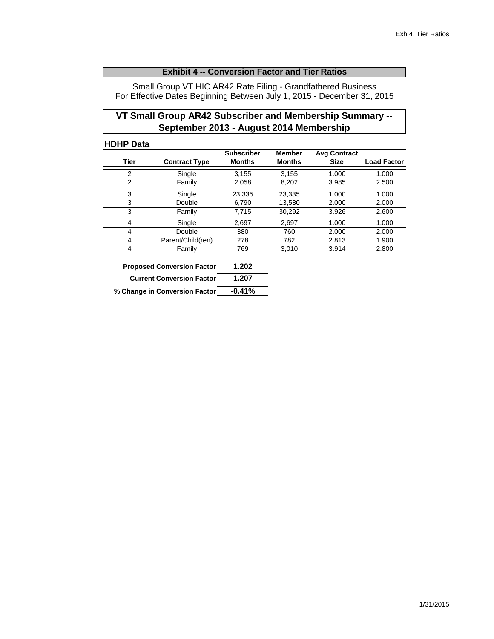## **Exhibit 4 -- Conversion Factor and Tier Ratios**

Small Group VT HIC AR42 Rate Filing - Grandfathered Business For Effective Dates Beginning Between July 1, 2015 - December 31, 2015

## **VT Small Group AR42 Subscriber and Membership Summary -- September 2013 - August 2014 Membership**

#### **HDHP Data**

|                |                      | <b>Subscriber</b> | <b>Member</b> | <b>Avg Contract</b> |                    |
|----------------|----------------------|-------------------|---------------|---------------------|--------------------|
| Tier           | <b>Contract Type</b> | <b>Months</b>     | <b>Months</b> | Size                | <b>Load Factor</b> |
| $\overline{2}$ | Single               | 3,155             | 3,155         | 1.000               | 1.000              |
| $\overline{2}$ | Family               | 2,058             | 8,202         | 3.985               | 2.500              |
| 3              | Single               | 23,335            | 23,335        | 1.000               | 1.000              |
| 3              | Double               | 6,790             | 13,580        | 2.000               | 2.000              |
| 3              | Family               | 7,715             | 30,292        | 3.926               | 2.600              |
| 4              | Single               | 2,697             | 2,697         | 1.000               | 1.000              |
| 4              | Double               | 380               | 760           | 2.000               | 2.000              |
| 4              | Parent/Child(ren)    | 278               | 782           | 2.813               | 1.900              |
| 4              | Family               | 769               | 3,010         | 3.914               | 2.800              |

| <b>Proposed Conversion Factor</b> | 1.202    |
|-----------------------------------|----------|
| <b>Current Conversion Factor</b>  | 1.207    |
| % Change in Conversion Factor     | $-0.41%$ |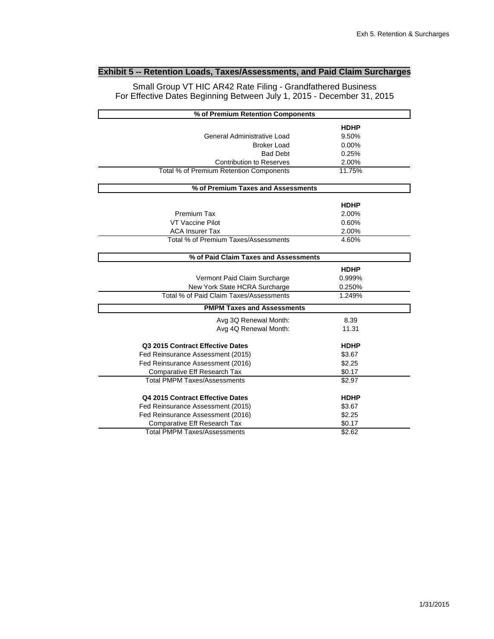## **Exhibit 5 -- Retention Loads, Taxes/Assessments, and Paid Claim Surcharges**

Small Group VT HIC AR42 Rate Filing - Grandfathered Business For Effective Dates Beginning Between July 1, 2015 - December 31, 2015

| % of Premium Retention Components       |             |  |
|-----------------------------------------|-------------|--|
|                                         | <b>HDHP</b> |  |
| General Administrative Load             | 9.50%       |  |
| <b>Broker Load</b>                      | 0.00%       |  |
| <b>Bad Debt</b>                         | 0.25%       |  |
| <b>Contribution to Reserves</b>         | 2.00%       |  |
| Total % of Premium Retention Components | 11.75%      |  |
| % of Premium Taxes and Assessments      |             |  |
|                                         | <b>HDHP</b> |  |
| Premium Tax                             | 2.00%       |  |
| VT Vaccine Pilot                        | 0.60%       |  |
| <b>ACA Insurer Tax</b>                  | 2.00%       |  |
| Total % of Premium Taxes/Assessments    | 4.60%       |  |
| % of Paid Claim Taxes and Assessments   |             |  |
|                                         | <b>HDHP</b> |  |
| Vermont Paid Claim Surcharge            | 0.999%      |  |
| New York State HCRA Surcharge           | 0.250%      |  |
| Total % of Paid Claim Taxes/Assessments | 1.249%      |  |
|                                         |             |  |
| <b>PMPM Taxes and Assessments</b>       |             |  |
| Avg 3Q Renewal Month:                   | 8.39        |  |
| Avg 4Q Renewal Month:                   | 11.31       |  |
| Q3 2015 Contract Effective Dates        | <b>HDHP</b> |  |
| Fed Reinsurance Assessment (2015)       | \$3.67      |  |
| Fed Reinsurance Assessment (2016)       | \$2.25      |  |
| Comparative Eff Research Tax            | \$0.17      |  |
| <b>Total PMPM Taxes/Assessments</b>     | \$2.97      |  |
| Q4 2015 Contract Effective Dates        | <b>HDHP</b> |  |
| Fed Reinsurance Assessment (2015)       | \$3.67      |  |
| Fed Reinsurance Assessment (2016)       | \$2.25      |  |
| Comparative Eff Research Tax            | \$0.17      |  |
| <b>Total PMPM Taxes/Assessments</b>     | \$2.62      |  |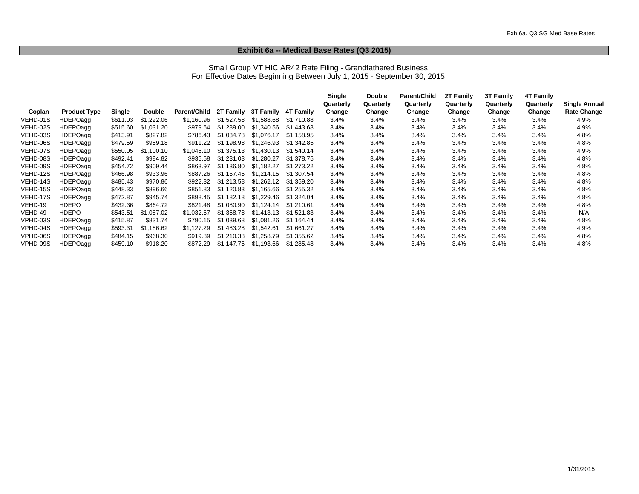#### **Exhibit 6a -- Medical Base Rates (Q3 2015)**

#### Small Group VT HIC AR42 Rate Filing - Grandfathered Business For Effective Dates Beginning Between July 1, 2015 - September 30, 2015

|          |                     |          |               |                     |            |                  |            | Single    | <b>Double</b> | Parent/Child | 2T Family | 3T Family | <b>4T Family</b> |               |
|----------|---------------------|----------|---------------|---------------------|------------|------------------|------------|-----------|---------------|--------------|-----------|-----------|------------------|---------------|
|          |                     |          |               |                     |            |                  |            | Quarterly | Quarterly     | Quarterly    | Quarterly | Quarterly | Quarterly        | Single Annual |
| Coplan   | <b>Product Type</b> | Single   | <b>Double</b> | <b>Parent/Child</b> | 2T Family  | <b>3T Family</b> | 4T Family  | Change    | Change        | Change       | Change    | Change    | Change           | Rate Change   |
| VEHD-01S | HDEPOagg            | \$611.03 | \$1,222.06    | \$1.160.96          | \$1.527.58 | \$1.588.68       | \$1.710.88 | 3.4%      | 3.4%          | $3.4\%$      | 3.4%      | 3.4%      | 3.4%             | 4.9%          |
| VEHD-02S | <b>HDEPOagg</b>     | \$515.60 | \$1,031.20    | \$979.64            | \$1.289.00 | \$1,340.56       | \$1.443.68 | 3.4%      | 3.4%          | 3.4%         | 3.4%      | 3.4%      | 3.4%             | 4.9%          |
| VEHD-03S | HDEPOagg            | \$413.91 | \$827.82      | \$786.43            | \$1,034.78 | \$1,076.17       | \$1,158.95 | 3.4%      | 3.4%          | 3.4%         | 3.4%      | 3.4%      | 3.4%             | 4.8%          |
| VEHD-06S | <b>HDEPOagg</b>     | \$479.59 | \$959.18      | \$911.22            | \$1.198.98 | \$1.246.93       | \$1.342.85 | 3.4%      | 3.4%          | 3.4%         | 3.4%      | 3.4%      | 3.4%             | 4.8%          |
| VEHD-07S | <b>HDEPOagg</b>     | \$550.05 | \$1.100.10    | \$1.045.10          | \$1.375.13 | \$1.430.13       | \$1.540.14 | 3.4%      | 3.4%          | 3.4%         | 3.4%      | 3.4%      | 3.4%             | 4.9%          |
| VEHD-08S | <b>HDEPOagg</b>     | \$492.41 | \$984.82      | \$935.58            | \$1.231.03 | \$1,280.27       | \$1,378.75 | 3.4%      | 3.4%          | 3.4%         | 3.4%      | 3.4%      | 3.4%             | 4.8%          |
| VEHD-09S | <b>HDEPOagg</b>     | \$454.72 | \$909.44      | \$863.97            | \$1,136.80 | \$1,182.27       | \$1.273.22 | 3.4%      | 3.4%          | 3.4%         | 3.4%      | 3.4%      | 3.4%             | 4.8%          |
| VEHD-12S | <b>HDEPOagg</b>     | \$466.98 | \$933.96      | \$887.26            | \$1.167.45 | \$1,214.15       | \$1.307.54 | 3.4%      | 3.4%          | 3.4%         | 3.4%      | 3.4%      | 3.4%             | 4.8%          |
| VEHD-14S | <b>HDEPOagg</b>     | \$485.43 | \$970.86      | \$922.32            | \$1,213.58 | \$1,262.12       | \$1.359.20 | 3.4%      | 3.4%          | 3.4%         | 3.4%      | 3.4%      | 3.4%             | 4.8%          |
| VEHD-15S | HDEPOagg            | \$448.33 | \$896.66      | \$851.83            | \$1.120.83 | \$1.165.66       | \$1.255.32 | 3.4%      | 3.4%          | 3.4%         | 3.4%      | 3.4%      | 3.4%             | 4.8%          |
| VEHD-17S | <b>HDEPOagg</b>     | \$472.87 | \$945.74      | \$898.45            | \$1.182.18 | \$1,229.46       | \$1.324.04 | 3.4%      | 3.4%          | 3.4%         | 3.4%      | 3.4%      | 3.4%             | 4.8%          |
| VEHD-19  | <b>HDEPO</b>        | \$432.36 | \$864.72      | \$821.48            | \$1.080.90 | \$1.124.14       | \$1,210.61 | 3.4%      | 3.4%          | 3.4%         | 3.4%      | 3.4%      | 3.4%             | 4.8%          |
| VEHD-49  | <b>HDEPO</b>        | \$543.51 | \$1.087.02    | \$1.032.67          | \$1,358.78 | \$1.413.13       | \$1.521.83 | 3.4%      | 3.4%          | 3.4%         | 3.4%      | 3.4%      | 3.4%             | N/A           |
| VPHD-03S | <b>HDEPOagg</b>     | \$415.87 | \$831.74      | \$790.15            | \$1,039.68 | \$1.081.26       | \$1.164.44 | 3.4%      | 3.4%          | 3.4%         | 3.4%      | 3.4%      | 3.4%             | 4.8%          |
| VPHD-04S | <b>HDEPOagg</b>     | \$593.31 | \$1.186.62    | \$1.127.29          | \$1.483.28 | \$1.542.61       | \$1.661.27 | 3.4%      | 3.4%          | 3.4%         | 3.4%      | 3.4%      | 3.4%             | 4.9%          |
| VPHD-06S | HDEPOagg            | \$484.15 | \$968.30      | \$919.89            | \$1,210.38 | \$1,258.79       | \$1,355.62 | 3.4%      | 3.4%          | 3.4%         | 3.4%      | 3.4%      | 3.4%             | 4.8%          |
| VPHD-09S | <b>HDEPOagg</b>     | \$459.10 | \$918.20      | \$872.29            | \$1.147.75 | \$1,193.66       | \$1,285.48 | 3.4%      | 3.4%          | 3.4%         | 3.4%      | 3.4%      | 3.4%             | 4.8%          |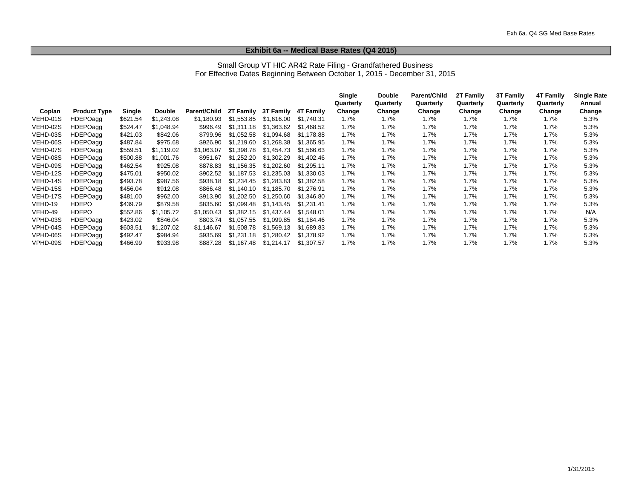#### **Exhibit 6a -- Medical Base Rates (Q4 2015)**

#### Small Group VT HIC AR42 Rate Filing - Grandfathered Business For Effective Dates Beginning Between October 1, 2015 - December 31, 2015

|          |                     |          |               |              |            |            |            | Single    | <b>Double</b> | Parent/Child | 2T Family | <b>3T Family</b> | 4T Family | <b>Single Rate</b> |
|----------|---------------------|----------|---------------|--------------|------------|------------|------------|-----------|---------------|--------------|-----------|------------------|-----------|--------------------|
|          |                     |          |               |              |            |            |            | Quarterly | Quarterly     | Quarterly    | Quarterly | Quarterly        | Quarterly | Annual             |
| Coplan   | <b>Product Type</b> | Single   | <b>Double</b> | Parent/Child | 2T Family  | 3T Family  | 4T Familv  | Change    | Change        | Change       | Change    | Change           | Change    | Change             |
| VEHD-01S | <b>HDEPOagg</b>     | \$621.54 | \$1,243.08    | \$1.180.93   | \$1,553.85 | \$1,616.00 | \$1.740.31 | 1.7%      | 1.7%          | 1.7%         | 1.7%      | 1.7%             | 1.7%      | 5.3%               |
| VEHD-02S | <b>HDEPOagg</b>     | \$524.47 | \$1.048.94    | \$996.49     | \$1.311.18 | \$1,363.62 | \$1.468.52 | 1.7%      | 1.7%          | 1.7%         | 1.7%      | 1.7%             | 1.7%      | 5.3%               |
| VEHD-03S | <b>HDEPOagg</b>     | \$421.03 | \$842.06      | \$799.96     | \$1,052.58 | \$1,094.68 | \$1.178.88 | 1.7%      | 1.7%          | 1.7%         | 1.7%      | 1.7%             | 1.7%      | 5.3%               |
| VEHD-06S | <b>HDEPOagg</b>     | \$487.84 | \$975.68      | \$926.90     | \$1.219.60 | \$1,268.38 | \$1,365.95 | 1.7%      | 1.7%          | 1.7%         | 1.7%      | $1.7\%$          | 1.7%      | 5.3%               |
| VEHD-07S | <b>HDEPOagg</b>     | \$559.51 | \$1.119.02    | \$1.063.07   | \$1,398.78 | \$1.454.73 | \$1.566.63 | 1.7%      | 1.7%          | 1.7%         | 1.7%      | 1.7%             | 1.7%      | 5.3%               |
| VEHD-08S | <b>HDEPOagg</b>     | \$500.88 | \$1,001.76    | \$951.67     | \$1,252.20 | \$1,302.29 | \$1,402.46 | 1.7%      | 1.7%          | $1.7\%$      | 1.7%      | $1.7\%$          | 1.7%      | 5.3%               |
| VEHD-09S | <b>HDEPOagg</b>     | \$462.54 | \$925.08      | \$878.83     | \$1.156.35 | \$1.202.60 | \$1.295.11 | 1.7%      | 1.7%          | 1.7%         | 1.7%      | $1.7\%$          | 1.7%      | 5.3%               |
| VEHD-12S | <b>HDEPOagg</b>     | \$475.01 | \$950.02      | \$902.52     | \$1.187.53 | \$1,235.03 | \$1,330.03 | 1.7%      | 1.7%          | 1.7%         | 1.7%      | $1.7\%$          | 1.7%      | 5.3%               |
| VEHD-14S | <b>HDEPOagg</b>     | \$493.78 | \$987.56      | \$938.18     | \$1.234.45 | \$1.283.83 | \$1,382.58 | 1.7%      | $1.7\%$       | $1.7\%$      | 1.7%      | 1.7%             | 1.7%      | 5.3%               |
| VEHD-15S | <b>HDEPOagg</b>     | \$456.04 | \$912.08      | \$866.48     | \$1.140.10 | \$1,185.70 | \$1.276.91 | 1.7%      | 1.7%          | $1.7\%$      | 1.7%      | 1.7%             | 1.7%      | 5.3%               |
| VEHD-17S | <b>HDEPOagg</b>     | \$481.00 | \$962.00      | \$913.90     | \$1,202.50 | \$1,250.60 | \$1.346.80 | 1.7%      | 1.7%          | $1.7\%$      | 1.7%      | 1.7%             | 1.7%      | 5.3%               |
| VEHD-19  | <b>HDEPO</b>        | \$439.79 | \$879.58      | \$835.60     | \$1.099.48 | \$1.143.45 | \$1.231.41 | 1.7%      | 1.7%          | 1.7%         | 1.7%      | 1.7%             | 1.7%      | 5.3%               |
| VEHD-49  | <b>HDEPO</b>        | \$552.86 | \$1,105.72    | \$1,050.43   | \$1,382.15 | \$1,437.44 | \$1,548.01 | 1.7%      | 1.7%          | $1.7\%$      | 1.7%      | 1.7%             | 1.7%      | N/A                |
| VPHD-03S | <b>HDEPOagg</b>     | \$423.02 | \$846.04      | \$803.74     | \$1.057.55 | \$1.099.85 | \$1.184.46 | 1.7%      | 1.7%          | 1.7%         | 1.7%      | $1.7\%$          | 1.7%      | 5.3%               |
| VPHD-04S | <b>HDEPOagg</b>     | \$603.51 | \$1.207.02    | \$1.146.67   | \$1.508.78 | \$1.569.13 | \$1.689.83 | 1.7%      | 1.7%          | 1.7%         | 1.7%      | 1.7%             | 1.7%      | 5.3%               |
| VPHD-06S | <b>HDEPOagg</b>     | \$492.47 | \$984.94      | \$935.69     | \$1,231.18 | \$1,280.42 | \$1,378.92 | 1.7%      | 1.7%          | 1.7%         | 1.7%      | $1.7\%$          | 1.7%      | 5.3%               |
| VPHD-09S | <b>HDEPOagg</b>     | \$466.99 | \$933.98      | \$887.28     | \$1,167.48 | \$1,214.17 | \$1,307.57 | 1.7%      | $1.7\%$       | 1.7%         | 1.7%      | $1.7\%$          | $1.7\%$   | 5.3%               |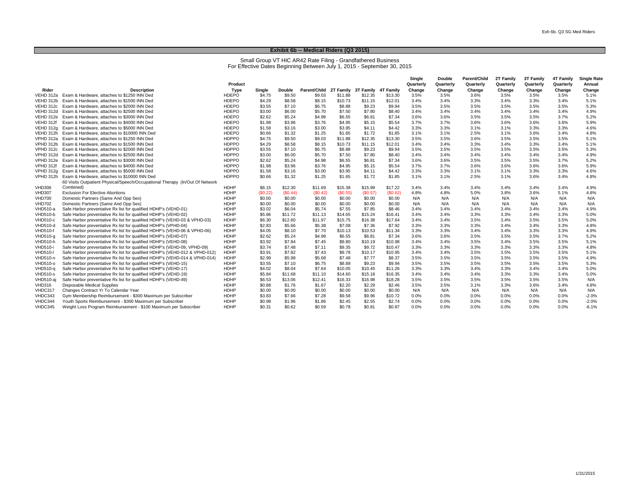#### **Exhibit 6b -- Medical Riders (Q3 2015)**

Small Group VT HIC AR42 Rate Filing - Grandfathered Business For Effective Dates Beginning Between July 1, 2015 - September 30, 2015

|                 |                                                                              |              |          |         |                                            |         |         |          | Single    | <b>Double</b> | <b>Parent/Child</b> | 2T Family | 3T Family | 4T Family | <b>Single Rate</b> |
|-----------------|------------------------------------------------------------------------------|--------------|----------|---------|--------------------------------------------|---------|---------|----------|-----------|---------------|---------------------|-----------|-----------|-----------|--------------------|
|                 |                                                                              | Product      |          |         |                                            |         |         |          | Quarterly | Quarterly     | Quarterly           | Quarterly | Quarterly | Quarterly | Annual             |
| Rider           | <b>Description</b>                                                           | Type         | Single   | Double  | Parent/Child 2T Family 3T Family 4T Family |         |         |          | Change    | Change        | Change              | Change    | Change    | Change    | Change             |
| VEHD 312a       | Exam & Hardware, attaches to \$1250 INN Ded                                  | <b>HDEPO</b> | \$4.75   | \$9.50  | \$9.03                                     | \$11.88 | \$12.35 | \$13.30  | 3.5%      | 3.5%          | 3.6%                | 3.5%      | 3.5%      | 3.5%      | 5.1%               |
| VEHD 312b       | Exam & Hardware, attaches to \$1500 INN Ded                                  | <b>HDEPO</b> | \$4.29   | \$8.58  | \$8.15                                     | \$10.73 | \$11.15 | \$12.01  | 3.4%      | 3.4%          | 3.3%                | 3.4%      | 3.3%      | 3.4%      | 5.1%               |
| VEHD 312c       | Exam & Hardware, attaches to \$2000 INN Ded                                  | <b>HDEPO</b> | \$3.55   | \$7.10  | \$6.75                                     | \$8.88  | \$9.23  | \$9.94   | 3.5%      | 3.5%          | 3.5%                | 3.5%      | 3.5%      | 3.5%      | 5.3%               |
| VEHD 312d       | Exam & Hardware, attaches to \$2500 INN Ded                                  | <b>HDEPO</b> | \$3.00   | \$6.00  | \$5.70                                     | \$7.50  | \$7.80  | \$8.40   | 3.4%      | 3.4%          | 3.4%                | 3.4%      | 3.4%      | 3.4%      | 4.9%               |
| VEHD 312e       | Exam & Hardware, attaches to \$3000 INN Ded                                  | <b>HDEPO</b> | \$2.62   | \$5.24  | \$4.98                                     | \$6.55  | \$6.81  | \$7.34   | 3.6%      | 3.6%          | 3.5%                | 3.5%      | 3.5%      | 3.7%      | 5.2%               |
| VEHD 312f       | Exam & Hardware, attaches to \$4000 INN Ded                                  | <b>HDEPO</b> | \$1.98   | \$3.96  | \$3.76                                     | \$4.95  | \$5.15  | \$5.54   | 3.7%      | 3.7%          | 3.6%                | 3.6%      | 3.6%      | 3.6%      | 5.9%               |
| VEHD 312a       | Exam & Hardware, attaches to \$5000 INN Ded                                  | <b>HDEPO</b> | \$1.58   | \$3.16  | \$3.00                                     | \$3.95  | \$4.11  | \$4.42   | 3.3%      | 3.3%          | 3.1%                | 3.1%      | 3.3%      | 3.3%      | 4.6%               |
| VEHD 312h       | Exam & Hardware, attaches to \$10000 INN Ded                                 | <b>HDEPO</b> | \$0.66   | \$1.32  | \$1.25                                     | \$1.65  | \$1.72  | \$1.85   | 3.1%      | 3.1%          | 2.5%                | 3.1%      | 3.6%      | 3.4%      | 4.8%               |
| VPHD 312a       | Exam & Hardware, attaches to \$1250 INN Ded                                  | <b>HDPPO</b> | \$4.75   | \$9.50  | \$9.03                                     | \$11.88 | \$12.35 | \$13.30  | 3.5%      | 3.5%          | 3.6%                | 3.5%      | 3.5%      | 3.5%      | 5.1%               |
| VPHD 312b       | Exam & Hardware, attaches to \$1500 INN Ded                                  | <b>HDPPO</b> | \$4.29   | \$8.58  | \$8.15                                     | \$10.73 | \$11.15 | \$12.01  | 3.4%      | 3.4%          | 3.3%                | 3.4%      | 3.3%      | 3.4%      | 5.1%               |
| VPHD 312c       | Exam & Hardware, attaches to \$2000 INN Ded                                  | <b>HDPPO</b> | \$3.55   | \$7.10  | \$6.75                                     | \$8.88  | \$9.23  | \$9.94   | 3.5%      | 3.5%          | 3.5%                | 3.5%      | 3.5%      | 3.5%      | 5.3%               |
| VPHD 312d       | Exam & Hardware, attaches to \$2500 INN Ded                                  | <b>HDPPO</b> | \$3.00   | \$6.00  | \$5.70                                     | \$7.50  | \$7.80  | \$8.40   | 3.4%      | 3.4%          | 3.4%                | 3.4%      | 3.4%      | 3.4%      | 4.9%               |
| VPHD 312e       | Exam & Hardware, attaches to \$3000 INN Ded                                  | <b>HDPPO</b> | \$2.62   | \$5.24  | \$4.98                                     | \$6.55  | \$6.81  | \$7.34   | 3.6%      | 3.6%          | 3.5%                | 3.5%      | 3.5%      | 3.7%      | 5.2%               |
| VPHD 312f       | Exam & Hardware, attaches to \$4000 INN Ded                                  | <b>HDPPO</b> | \$1.98   | \$3.96  | \$3.76                                     | \$4.95  | \$5.15  | \$5.54   | 3.7%      | 3.7%          | 3.6%                | 3.6%      | 3.6%      | 3.6%      | 5.9%               |
| VPHD 312a       | Exam & Hardware, attaches to \$5000 INN Ded                                  | <b>HDPPO</b> | \$1.58   | \$3.16  | \$3.00                                     | \$3.95  | \$4.11  | \$4.42   | 3.3%      | 3.3%          | 3.1%                | 3.1%      | 3.3%      | 3.3%      | 4.6%               |
| VPHD 312h       | Exam & Hardware, attaches to \$10000 INN Ded                                 | <b>HDPPO</b> | \$0.66   | \$1.32  | \$1.25                                     | \$1.65  | \$1.72  | \$1.85   | 3.1%      | 3.1%          | 2.5%                | 3.1%      | 3.6%      | 3.4%      | 4.8%               |
|                 | 60 Visits Outpatient Physical/Speech/Occupational Therapy (In/Out Of Network |              |          |         |                                            |         |         |          |           |               |                     |           |           |           |                    |
| <b>VHD306</b>   | Combined)                                                                    | <b>HDHP</b>  | \$6.15   | \$12.30 | \$11.69                                    | \$15.38 | \$15.99 | \$17.22  | 3.4%      | 3.4%          | 3.4%                | 3.4%      | 3.4%      | 3.4%      | 4.9%               |
| <b>VHD307</b>   | <b>Exclusion For Elective Abortions</b>                                      | HDHP         | (\$0.22) | (S0.44) | (S0.42)                                    | (S0.55) | (S0.57) | (\$0.62) | 4.8%      | 4.8%          | 5.0%                | 3.8%      | 3.6%      | 5.1%      | 4.8%               |
| <b>VHD700</b>   | Domestic Partners (Same And Opp Sex)                                         | HDHP         | \$0.00   | \$0.00  | \$0.00                                     | \$0.00  | \$0.00  | \$0.00   | N/A       | N/A           | N/A                 | N/A       | N/A       | N/A       | N/A                |
| <b>VHD702</b>   | Domestic Partners (Same And Opp Sex)                                         | HDHP         | \$0.00   | \$0.00  | \$0.00                                     | \$0.00  | \$0.00  | \$0.00   | N/A       | N/A           | N/A                 | N/A       | N/A       | N/A       | N/A                |
| VHD510-a        | Safe Harbor preventative Rx list for qualified HDHP's (VEHD-01)              | <b>HDHP</b>  | \$3.02   | \$6.04  | \$5.74                                     | \$7.55  | \$7.85  | \$8.46   | 3.4%      | 3.4%          | 3.4%                | 3.4%      | 3.4%      | 3.4%      | 4.9%               |
| VHD510-b        | Safe Harbor preventative Rx list for qualified HDHP's (VEHD-02)              | <b>HDHP</b>  | \$5.86   | \$11.72 | \$11.13                                    | \$14.65 | \$15.24 | \$16.41  | 3.4%      | 3.4%          | 3.3%                | 3.3%      | 3.4%      | 3.3%      | 5.0%               |
| <b>VHD510-c</b> | Safe Harbor preventative Rx list for qualified HDHP's (VEHD-03 & VPHD-03)    | <b>HDHP</b>  | \$6.30   | \$12.60 | \$11.97                                    | \$15.75 | \$16.38 | \$17.64  | 3.4%      | 3.4%          | 3.5%                | 3.4%      | 3.5%      | 3.5%      | 5.0%               |
| VHD510-d        | Safe Harbor preventative Rx list for qualified HDHP's (VPHD-04)              | <b>HDHP</b>  | \$2.83   | \$5.66  | \$5.38                                     | \$7.08  | \$7.36  | \$7.92   | 3.3%      | 3.3%          | 3.3%                | 3.4%      | 3.4%      | 3.3%      | 4.8%               |
| <b>VHD510-f</b> | Safe Harbor preventative Rx list for qualified HDHP's (VEHD-06 & VPHD-06)    | HDHP         | \$4.05   | \$8.10  | \$7.70                                     | \$10.13 | \$10.53 | \$11.34  | 3.3%      | 3.3%          | 3.4%                | 3.4%      | 3.3%      | 3.3%      | 4.9%               |
| VHD510-g        | Safe Harbor preventative Rx list for qualified HDHP's (VEHD-07)              | <b>HDHP</b>  | \$2.62   | \$5.24  | \$4.98                                     | \$6.55  | \$6.81  | \$7.34   | 3.6%      | 3.6%          | 3.5%                | 3.5%      | 3.5%      | 3.7%      | 5.2%               |
| VHD510-h        | Safe Harbor preventative Rx list for qualified HDHP's (VEHD-08)              | <b>HDHP</b>  | \$3.92   | \$7.84  | \$7.45                                     | \$9.80  | \$10.19 | \$10.98  | 3.4%      | 3.4%          | 3.5%                | 3.4%      | 3.5%      | 3.5%      | 5.1%               |
| <b>VHD510-i</b> | Safe Harbor preventative Rx list for qualified HDHP's (VEHD-09, VPHD-09)     | <b>HDHP</b>  | \$3.74   | \$7.48  | \$7.11                                     | \$9.35  | \$9.72  | \$10.47  | 3.3%      | 3.3%          | 3.3%                | 3.3%      | 3.3%      | 3.3%      | 4.8%               |
| <b>VHD510-I</b> | Safe Harbor preventative Rx list for qualified HDHP's (VEHD-012 & VPHD-012)  | <b>HDHP</b>  | \$3.91   | \$7.82  | \$7.43                                     | \$9.78  | \$10.17 | \$10.95  | 3.4%      | 3.4%          | 3.5%                | 3.5%      | 3.5%      | 3.5%      | 5.1%               |
| VHD510-n        | Safe Harbor preventative Rx list for qualified HDHP's (VEHD-014 & VPHD-014)  | HDHP         | \$2.99   | \$5.98  | \$5.68                                     | \$7.48  | \$7.77  | \$8.37   | 3.5%      | 3.5%          | 3.5%                | 3.5%      | 3.5%      | 3.5%      | 4.9%               |
| VHD510-o        | Safe Harbor preventative Rx list for qualified HDHP's (VEHD-15)              | <b>HDHP</b>  | \$3.55   | \$7.10  | \$6.75                                     | \$8.88  | \$9.23  | \$9.94   | 3.5%      | 3.5%          | 3.5%                | 3.5%      | 3.5%      | 3.5%      | 5.3%               |
| VHD510-g        | Safe Harbor preventative Rx list for qualified HDHP's (VEHD-17)              | HDHP         | \$4.02   | \$8.04  | \$7.64                                     | \$10.05 | \$10.45 | \$11.26  | 3.3%      | 3.3%          | 3.4%                | 3.3%      | 3.4%      | 3.4%      | 5.0%               |
| <b>VHD510-s</b> | Safe Harbor preventative Rx list for qualified HDHP's (VEHD-19)              | <b>HDHP</b>  | \$5.84   | \$11.68 | \$11.10                                    | \$14.60 | \$15.18 | \$16.35  | 3.4%      | 3.4%          | 3.4%                | 3.3%      | 3.3%      | 3.4%      | 5.0%               |
| VHD510-aj       | Safe Harbor preventative Rx list for qualified HDHP's (VEHD-49)              | HDHP         | \$6.53   | \$13.06 | \$12.41                                    | \$16.33 | \$16.98 | \$18.28  | 3.5%      | 3.5%          | 3.5%                | 3.5%      | 3.5%      | 3.5%      | N/A                |
| <b>VHD316</b>   | <b>Disposable Medical Supplies</b>                                           | <b>HDHP</b>  | \$0.88   | \$1.76  | \$1.67                                     | \$2.20  | \$2.29  | \$2.46   | 3.5%      | 3.5%          | 3.1%                | 3.3%      | 3.6%      | 3.4%      | 4.8%               |
| VHDC317         | Changes Contract Yr To Calendar Year                                         | <b>HDHP</b>  | \$0.00   | \$0.00  | \$0.00                                     | \$0.00  | \$0.00  | \$0.00   | N/A       | N/A           | N/A                 | N/A       | N/A       | N/A       | N/A                |
| VHDC343         | Gym Membership Reimbursement - \$300 Maximum per Subscriber                  | <b>HDHP</b>  | \$3.83   | \$7.66  | \$7.28                                     | \$9.58  | \$9.96  | \$10.72  | 0.0%      | 0.0%          | 0.0%                | 0.0%      | 0.0%      | 0.0%      | $-2.0%$            |
| VHDC344         | Youth Sports Reimbursement - \$300 Maximum per Subscriber                    | <b>HDHP</b>  | \$0.98   | \$1.96  | \$1.86                                     | \$2.45  | \$2.55  | \$2.74   | 0.0%      | 0.0%          | 0.0%                | 0.0%      | 0.0%      | 0.0%      | $-2.0%$            |
| VHDC345         | Weight Loss Program Reimbursement - \$100 Maximum per Subscriber             | HDHP         | \$0.31   | \$0.62  | \$0.59                                     | \$0.78  | \$0.81  | \$0.87   | 0.0%      | 0.0%          | 0.0%                | 0.0%      | 0.0%      | 0.0%      | $-6.1%$            |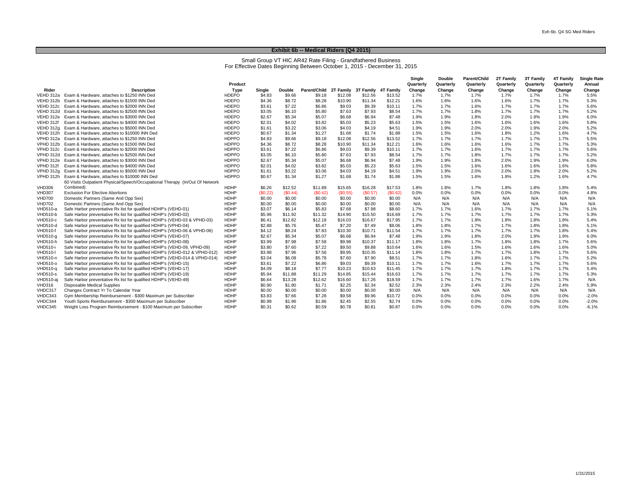#### **Exhibit 6b -- Medical Riders (Q4 2015)**

Small Group VT HIC AR42 Rate Filing - Grandfathered Business For Effective Dates Beginning Between October 1, 2015 - December 31, 2015

|                 |                                                                              |              |         |               |                                            |         |         |          | Single    | <b>Double</b> | Parent/Child | 2T Family | 3T Family | 4T Family | <b>Single Rate</b> |
|-----------------|------------------------------------------------------------------------------|--------------|---------|---------------|--------------------------------------------|---------|---------|----------|-----------|---------------|--------------|-----------|-----------|-----------|--------------------|
|                 |                                                                              | Product      |         |               |                                            |         |         |          | Quarterly | Quarterly     | Quarterly    | Quarterly | Quarterly | Quarterly | Annual             |
| Rider           | <b>Description</b>                                                           | Type         | Single  | <b>Double</b> | Parent/Child 2T Family 3T Family 4T Family |         |         |          | Change    | Change        | Change       | Change    | Change    | Change    | Change             |
|                 | VEHD 312a Exam & Hardware, attaches to \$1250 INN Ded                        | <b>HDEPO</b> | \$4.83  | \$9.66        | \$9.18                                     | \$12.08 | \$12.56 | \$13.52  | 1.7%      | 1.7%          | 1.7%         | 1.7%      | 1.7%      | 1.7%      | 5.5%               |
| VEHD 312b       | Exam & Hardware, attaches to \$1500 INN Ded                                  | <b>HDEPO</b> | \$4.36  | \$8.72        | \$8.28                                     | \$10.90 | \$11.34 | \$12.21  | 1.6%      | 1.6%          | 1.6%         | 1.6%      | 1.7%      | 1.7%      | 5.3%               |
|                 | VEHD 312c Exam & Hardware, attaches to \$2000 INN Ded                        | <b>HDEPO</b> | \$3.61  | \$7.22        | \$6.86                                     | \$9.03  | \$9.39  | \$10.11  | 1.7%      | 1.7%          | 1.6%         | 1.7%      | 1.7%      | 1.7%      | 5.6%               |
|                 | VEHD 312d Exam & Hardware, attaches to \$2500 INN Ded                        | <b>HDEPO</b> | \$3.05  | \$6.10        | \$5.80                                     | \$7.63  | \$7.93  | \$8.54   | 1.7%      | 1.7%          | 1.8%         | 1.7%      | 1.7%      | 1.7%      | 5.2%               |
| VEHD 312e       | Exam & Hardware, attaches to \$3000 INN Ded                                  | <b>HDEPO</b> | \$2.67  | \$5.34        | \$5.07                                     | \$6.68  | \$6.94  | \$7.48   | 1.9%      | 1.9%          | 1.8%         | 2.0%      | 1.9%      | 1.9%      | 6.0%               |
| VEHD 312f       | Exam & Hardware, attaches to \$4000 INN Ded                                  | <b>HDEPO</b> | \$2.01  | \$4.02        | \$3.82                                     | \$5.03  | \$5.23  | \$5.63   | 1.5%      | 1.5%          | 1.6%         | 1.6%      | 1.6%      | 1.6%      | 5.8%               |
| VEHD 312g       | Exam & Hardware, attaches to \$5000 INN Ded                                  | <b>HDEPO</b> | \$1.61  | \$3.22        | \$3.06                                     | \$4.03  | \$4.19  | \$4.51   | 1.9%      | 1.9%          | 2.0%         | 2.0%      | 1.9%      | 2.0%      | 5.2%               |
| VEHD 312h       | Exam & Hardware, attaches to \$10000 INN Ded                                 | <b>HDEPO</b> | \$0.67  | \$1.34        | \$1.27                                     | \$1.68  | \$1.74  | \$1.88   | 1.5%      | 1.5%          | 1.6%         | 1.8%      | 1.2%      | 1.6%      | 4.7%               |
| VPHD 312a       | Exam & Hardware, attaches to \$1250 INN Ded                                  | <b>HDPPO</b> | \$4.83  | \$9.66        | \$9.18                                     | \$12.08 | \$12.56 | \$13.52  | 1.7%      | 1.7%          | 1.7%         | 1.7%      | 1.7%      | 1.7%      | 5.5%               |
| VPHD 312b       | Exam & Hardware, attaches to \$1500 INN Ded                                  | <b>HDPPO</b> | \$4.36  | \$8.72        | \$8.28                                     | \$10.90 | \$11.34 | \$12.21  | 1.6%      | 1.6%          | 1.6%         | 1.6%      | 1.7%      | 1.7%      | 5.3%               |
| VPHD 312c       | Exam & Hardware, attaches to \$2000 INN Ded                                  | <b>HDPPO</b> | \$3.61  | \$7.22        | \$6.86                                     | \$9.03  | \$9.39  | \$10.11  | 1.7%      | 1.7%          | 1.6%         | 1.7%      | 1.7%      | 1.7%      | 5.6%               |
| VPHD 312d       | Exam & Hardware, attaches to \$2500 INN Ded                                  | HDPPO        | \$3.05  | \$6.10        | \$5.80                                     | \$7.63  | \$7.93  | \$8.54   | 1.7%      | 1.7%          | 1.8%         | 1.7%      | 1.7%      | 1.7%      | 5.2%               |
| VPHD 312e       | Exam & Hardware, attaches to \$3000 INN Ded                                  | <b>HDPPO</b> | \$2.67  | \$5.34        | \$5.07                                     | \$6.68  | \$6.94  | \$7.48   | 1.9%      | 1.9%          | 1.8%         | 2.0%      | 1.9%      | 1.9%      | 6.0%               |
| VPHD 312f       | Exam & Hardware, attaches to \$4000 INN Ded                                  | <b>HDPPO</b> | \$2.01  | \$4.02        | \$3.82                                     | \$5.03  | \$5.23  | \$5.63   | 1.5%      | 1.5%          | 1.6%         | 1.6%      | 1.6%      | 1.6%      | 5.8%               |
| VPHD 312a       | Exam & Hardware, attaches to \$5000 INN Ded                                  | <b>HDPPO</b> | \$1.61  | \$3.22        | \$3.06                                     | \$4.03  | \$4.19  | \$4.51   | 1.9%      | 1.9%          | 2.0%         | 2.0%      | 1.9%      | 2.0%      | 5.2%               |
| VPHD 312h       | Exam & Hardware, attaches to \$10000 INN Ded                                 | <b>HDPPO</b> | \$0.67  | \$1.34        | \$1.27                                     | \$1.68  | \$1.74  | \$1.88   | 1.5%      | 1.5%          | 1.6%         | 1.8%      | 1.2%      | 1.6%      | 4.7%               |
|                 | 60 Visits Outpatient Physical/Speech/Occupational Therapy (In/Out Of Network |              |         |               |                                            |         |         |          |           |               |              |           |           |           |                    |
| <b>VHD306</b>   | Combined)                                                                    | <b>HDHP</b>  | \$6.26  | \$12.52       | \$11.89                                    | \$15.65 | \$16.28 | \$17.53  | 1.8%      | 1.8%          | 1.7%         | 1.8%      | 1.8%      | 1.8%      | 5.4%               |
| <b>VHD307</b>   | <b>Exclusion For Elective Abortions</b>                                      | <b>HDHP</b>  | (S0.22) | (S0.44)       | (S0.42)                                    | (S0.55) | (S0.57) | (\$0.62) | 0.0%      | 0.0%          | 0.0%         | 0.0%      | 0.0%      | 0.0%      | 4.8%               |
| <b>VHD700</b>   | Domestic Partners (Same And Opp Sex)                                         | <b>HDHP</b>  | \$0.00  | \$0.00        | \$0.00                                     | \$0.00  | \$0.00  | \$0.00   | N/A       | N/A           | N/A          | N/A       | N/A       | N/A       | N/A                |
| <b>VHD702</b>   | Domestic Partners (Same And Opp Sex)                                         | <b>HDHP</b>  | \$0.00  | \$0.00        | \$0.00                                     | \$0.00  | \$0.00  | \$0.00   | N/A       | N/A           | N/A          | N/A       | N/A       | N/A       | N/A                |
| VHD510-a        | Safe Harbor preventative Rx list for qualified HDHP's (VEHD-01)              | <b>HDHP</b>  | \$3.07  | \$6.14        | \$5.83                                     | \$7.68  | \$7.98  | \$8.60   | 1.7%      | 1.7%          | 1.6%         | 1.7%      | 1.7%      | 1.7%      | 5.1%               |
| <b>VHD510-b</b> | Safe Harbor preventative Rx list for qualified HDHP's (VEHD-02)              | <b>HDHP</b>  | \$5.96  | \$11.92       | \$11.32                                    | \$14.90 | \$15.50 | \$16.69  | 1.7%      | 1.7%          | 1.7%         | 1.7%      | 1.7%      | 1.7%      | 5.3%               |
| <b>VHD510-c</b> | Safe Harbor preventative Rx list for qualified HDHP's (VEHD-03 & VPHD-03)    | <b>HDHP</b>  | \$6.41  | \$12.82       | \$12.18                                    | \$16.03 | \$16.67 | \$17.95  | 1.7%      | 1.7%          | 1.8%         | 1.8%      | 1.8%      | 1.8%      | 5.4%               |
| VHD510-d        | Safe Harbor preventative Rx list for qualified HDHP's (VPHD-04)              | HDHP         | \$2.88  | \$5.76        | \$5.47                                     | \$7.20  | \$7.49  | \$8.06   | 1.8%      | 1.8%          | 1.7%         | 1.7%      | 1.8%      | 1.8%      | 5.1%               |
| <b>VHD510-f</b> | Safe Harbor preventative Rx list for qualified HDHP's (VEHD-06 & VPHD-06)    | HDHP         | \$4.12  | \$8.24        | \$7.83                                     | \$10.30 | \$10.71 | \$11.54  | 1.7%      | 1.7%          | 1.7%         | 1.7%      | 1.7%      | 1.8%      | 5.4%               |
| VHD510-g        | Safe Harbor preventative Rx list for qualified HDHP's (VEHD-07)              | <b>HDHP</b>  | \$2.67  | \$5.34        | \$5.07                                     | \$6.68  | \$6.94  | \$7.48   | 1.9%      | 1.9%          | 1.8%         | 2.0%      | 1.9%      | 1.9%      | 6.0%               |
| <b>VHD510-h</b> | Safe Harbor preventative Rx list for qualified HDHP's (VEHD-08)              | <b>HDHP</b>  | \$3.99  | \$7.98        | \$7.58                                     | \$9.98  | \$10.37 | \$11.17  | 1.8%      | 1.8%          | 1.7%         | 1.8%      | 1.8%      | 1.7%      | 5.6%               |
| <b>VHD510-i</b> | Safe Harbor preventative Rx list for qualified HDHP's (VEHD-09, VPHD-09)     | <b>HDHP</b>  | \$3.80  | \$7.60        | \$7.22                                     | \$9.50  | \$9.88  | \$10.64  | 1.6%      | 1.6%          | 1.5%         | 1.6%      | 1.6%      | 1.6%      | 5.0%               |
| <b>VHD510-I</b> | Safe Harbor preventative Rx list for qualified HDHP's (VEHD-012 & VPHD-012)  | HDHP         | \$3.98  | \$7.96        | \$7.56                                     | \$9.95  | \$10.35 | \$11.14  | 1.8%      | 1.8%          | 1.7%         | 1.7%      | 1.8%      | 1.7%      | 5.6%               |
| VHD510-n        | Safe Harbor preventative Rx list for qualified HDHP's (VEHD-014 & VPHD-014)  | HDHP         | \$3.04  | \$6.08        | \$5.78                                     | \$7.60  | \$7.90  | \$8.51   | 1.7%      | 1.7%          | 1.8%         | 1.6%      | 1.7%      | 1.7%      | 5.2%               |
| VHD510-0        | Safe Harbor preventative Rx list for qualified HDHP's (VEHD-15)              | <b>HDHP</b>  | \$3.61  | \$7.22        | \$6.86                                     | \$9.03  | \$9.39  | \$10.11  | 1.7%      | 1.7%          | 1.6%         | 1.7%      | 1.7%      | 1.7%      | 5.6%               |
| VHD510-g        | Safe Harbor preventative Rx list for qualified HDHP's (VEHD-17)              | <b>HDHP</b>  | \$4.09  | \$8.18        | \$7.77                                     | \$10.23 | \$10.63 | \$11.45  | 1.7%      | 1.7%          | 1.7%         | 1.8%      | 1.7%      | 1.7%      | 5.4%               |
| <b>VHD510-s</b> | Safe Harbor preventative Rx list for qualified HDHP's (VEHD-19)              | <b>HDHP</b>  | \$5.94  | \$11.88       | \$11.29                                    | \$14.85 | \$15.44 | \$16.63  | 1.7%      | 1.7%          | 1.7%         | 1.7%      | 1.7%      | 1.7%      | 5.3%               |
| VHD510-ai       | Safe Harbor preventative Rx list for qualified HDHP's (VEHD-49)              | <b>HDHP</b>  | \$6.64  | \$13.28       | \$12.62                                    | \$16.60 | \$17.26 | \$18.59  | 1.7%      | 1.7%          | 1.7%         | 1.7%      | 1.6%      | 1.7%      | N/A                |
| <b>VHD316</b>   | Disposable Medical Supplies                                                  | HDHP         | \$0.90  | \$1.80        | \$1.71                                     | \$2.25  | \$2.34  | \$2.52   | 2.3%      | 2.3%          | 2.4%         | 2.3%      | 2.2%      | 2.4%      | 5.9%               |
| VHDC317         | Changes Contract Yr To Calendar Year                                         | <b>HDHP</b>  | \$0.00  | \$0.00        | \$0.00                                     | \$0.00  | \$0.00  | \$0.00   | N/A       | N/A           | N/A          | N/A       | N/A       | N/A       | N/A                |
| VHDC343         | Gym Membership Reimbursement - \$300 Maximum per Subscriber                  | HDHP         | \$3.83  | \$7.66        | \$7.28                                     | \$9.58  | \$9.96  | \$10.72  | 0.0%      | 0.0%          | 0.0%         | 0.0%      | $0.0\%$   | 0.0%      | $-2.0%$            |
| VHDC344         | Youth Sports Reimbursement - \$300 Maximum per Subscriber                    | <b>HDHP</b>  | \$0.98  | \$1.96        | \$1.86                                     | \$2.45  | \$2.55  | \$2.74   | 0.0%      | 0.0%          | 0.0%         | 0.0%      | 0.0%      | 0.0%      | $-2.0%$            |
| VHDC345         | Weight Loss Program Reimbursement - \$100 Maximum per Subscriber             | <b>HDHP</b>  | \$0.31  | \$0.62        | \$0.59                                     | \$0.78  | \$0.81  | \$0.87   | 0.0%      | 0.0%          | 0.0%         | 0.0%      | 0.0%      | 0.0%      | $-6.1%$            |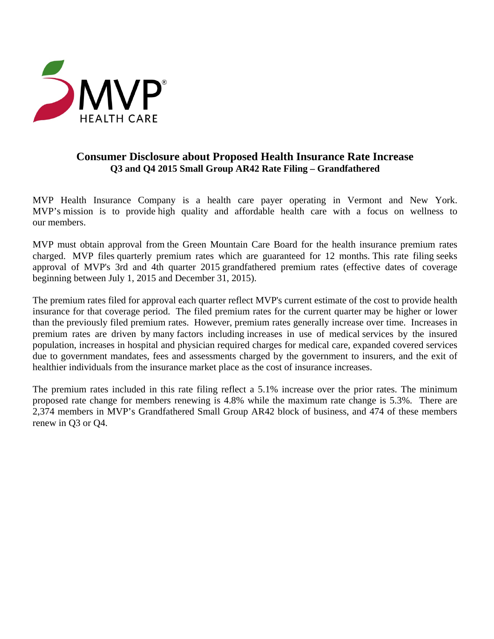

# **Consumer Disclosure about Proposed Health Insurance Rate Increase Q3 and Q4 2015 Small Group AR42 Rate Filing – Grandfathered**

MVP Health Insurance Company is a health care payer operating in Vermont and New York. MVP's mission is to provide high quality and affordable health care with a focus on wellness to our members.

MVP must obtain approval from the Green Mountain Care Board for the health insurance premium rates charged. MVP files quarterly premium rates which are guaranteed for 12 months. This rate filing seeks approval of MVP's 3rd and 4th quarter 2015 grandfathered premium rates (effective dates of coverage beginning between July 1, 2015 and December 31, 2015).

The premium rates filed for approval each quarter reflect MVP's current estimate of the cost to provide health insurance for that coverage period. The filed premium rates for the current quarter may be higher or lower than the previously filed premium rates. However, premium rates generally increase over time. Increases in premium rates are driven by many factors including increases in use of medical services by the insured population, increases in hospital and physician required charges for medical care, expanded covered services due to government mandates, fees and assessments charged by the government to insurers, and the exit of healthier individuals from the insurance market place as the cost of insurance increases.

The premium rates included in this rate filing reflect a 5.1% increase over the prior rates. The minimum proposed rate change for members renewing is 4.8% while the maximum rate change is 5.3%. There are 2,374 members in MVP's Grandfathered Small Group AR42 block of business, and 474 of these members renew in Q3 or Q4.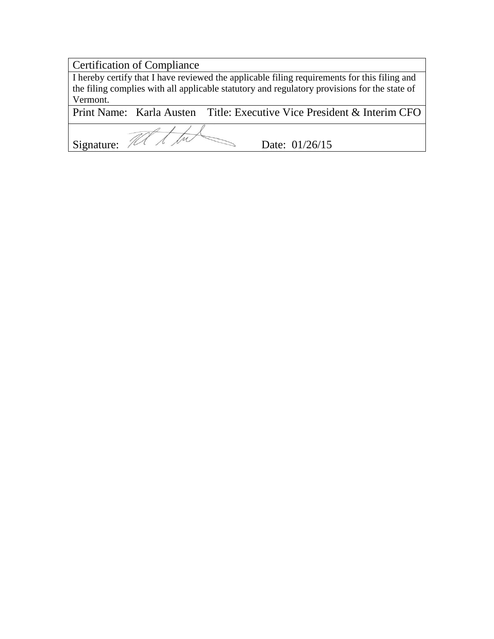# Certification of Compliance

I hereby certify that I have reviewed the applicable filing requirements for this filing and the filing complies with all applicable statutory and regulatory provisions for the state of Vermont.<br>Print Name: Karla Austen

Title: Executive Vice President & Interim CFO

Signature:  $\mathbb{Z}$   $\overline{\mathbb{Z}}$   $\overline{\mathbb{Z}}$   $\overline{\mathbb{Z}}$   $\overline{\mathbb{Z}}$   $\overline{\mathbb{Z}}$  Date: 01/26/15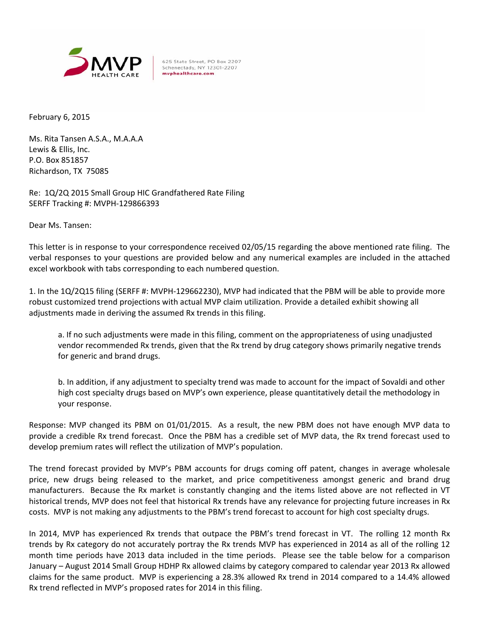

625 State Street, PO Box 2207 Schenectady, NY 12301-2207 mvphealthcare.com

February 6, 2015

Ms. Rita Tansen A.S.A., M.A.A.A Lewis & Ellis, Inc. P.O. Box 851857 Richardson, TX 75085

Re: 1Q/2Q 2015 Small Group HIC Grandfathered Rate Filing SERFF Tracking #: MVPH‐129866393

Dear Ms. Tansen:

This letter is in response to your correspondence received 02/05/15 regarding the above mentioned rate filing. The verbal responses to your questions are provided below and any numerical examples are included in the attached excel workbook with tabs corresponding to each numbered question.

1. In the 1Q/2Q15 filing (SERFF #: MVPH‐129662230), MVP had indicated that the PBM will be able to provide more robust customized trend projections with actual MVP claim utilization. Provide a detailed exhibit showing all adjustments made in deriving the assumed Rx trends in this filing.

a. If no such adjustments were made in this filing, comment on the appropriateness of using unadjusted vendor recommended Rx trends, given that the Rx trend by drug category shows primarily negative trends for generic and brand drugs.

b. In addition, if any adjustment to specialty trend was made to account for the impact of Sovaldi and other high cost specialty drugs based on MVP's own experience, please quantitatively detail the methodology in your response.

Response: MVP changed its PBM on 01/01/2015. As a result, the new PBM does not have enough MVP data to provide a credible Rx trend forecast. Once the PBM has a credible set of MVP data, the Rx trend forecast used to develop premium rates will reflect the utilization of MVP's population.

The trend forecast provided by MVP's PBM accounts for drugs coming off patent, changes in average wholesale price, new drugs being released to the market, and price competitiveness amongst generic and brand drug manufacturers. Because the Rx market is constantly changing and the items listed above are not reflected in VT historical trends, MVP does not feel that historical Rx trends have any relevance for projecting future increases in Rx costs. MVP is not making any adjustments to the PBM's trend forecast to account for high cost specialty drugs.

In 2014, MVP has experienced Rx trends that outpace the PBM's trend forecast in VT. The rolling 12 month Rx trends by Rx category do not accurately portray the Rx trends MVP has experienced in 2014 as all of the rolling 12 month time periods have 2013 data included in the time periods. Please see the table below for a comparison January – August 2014 Small Group HDHP Rx allowed claims by category compared to calendar year 2013 Rx allowed claims for the same product. MVP is experiencing a 28.3% allowed Rx trend in 2014 compared to a 14.4% allowed Rx trend reflected in MVP's proposed rates for 2014 in this filing.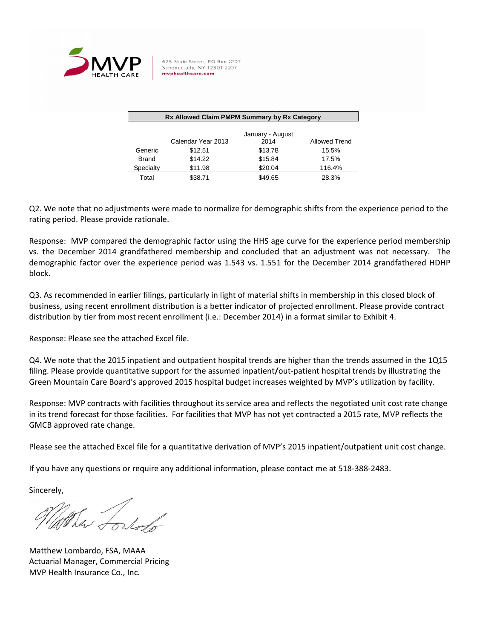

625 State Street, PO Box 2207 Schenectady, NY 12301-2207 mvphealthcare.com

| Rx Allowed Claim PMPM Summary by Rx Category |                    |                  |               |  |  |  |  |  |  |  |
|----------------------------------------------|--------------------|------------------|---------------|--|--|--|--|--|--|--|
|                                              |                    |                  |               |  |  |  |  |  |  |  |
|                                              |                    | January - August |               |  |  |  |  |  |  |  |
|                                              | Calendar Year 2013 | 2014             | Allowed Trend |  |  |  |  |  |  |  |
| Generic                                      | \$12.51            | \$13.78          | 15.5%         |  |  |  |  |  |  |  |
| <b>Brand</b>                                 | \$14.22            | \$15.84          | 17.5%         |  |  |  |  |  |  |  |
| Specialty                                    | \$11.98            | \$20.04          | 116.4%        |  |  |  |  |  |  |  |
| Total                                        | \$38.71            | \$49.65          | 28.3%         |  |  |  |  |  |  |  |

Q2. We note that no adjustments were made to normalize for demographic shifts from the experience period to the rating period. Please provide rationale.

Response: MVP compared the demographic factor using the HHS age curve for the experience period membership vs. the December 2014 grandfathered membership and concluded that an adjustment was not necessary. The demographic factor over the experience period was 1.543 vs. 1.551 for the December 2014 grandfathered HDHP block k.

Q3. As recommended in earlier filings, particularly in light of material shifts in membership in this closed block of business, using recent enrollment distribution is a better indicator of projected enrollment. Please provide contract distribution by tier from most recent enrollment (i.e.: December 2014) in a format similar to Exhibit 4.

Response: Please see the attached Excel file.

Q4. We note that the 2015 inpatient and outpatient hospital trends are higher than the trends assumed in the 1Q15 filing. Please provide quantitative support for the assumed inpatient/out-patient hospital trends by illustrating the Green Mountain Care Board's approved 2015 hospital budget increases weighted by MVP's utilization by facility.

Response: MVP contracts with facilities throughout its service area and reflects the negotiated unit cost rate change in its trend forecast for those facilities. For facilities that MVP has not yet contracted a 2015 rate, MVP reflects the GMCB approved rate change.

Please see the attached Excel file for a quantitative derivation of MVP's 2015 inpatient/outpatient unit cost change.

If you have any questions or require any additional information, please contact me at 518-388-2483.

Sincerely,

They fortal

Matthew Lombardo, FSA, MAAA Actuarial Manager, Commercial Pricing MVP Health Insur ance Co., Inc .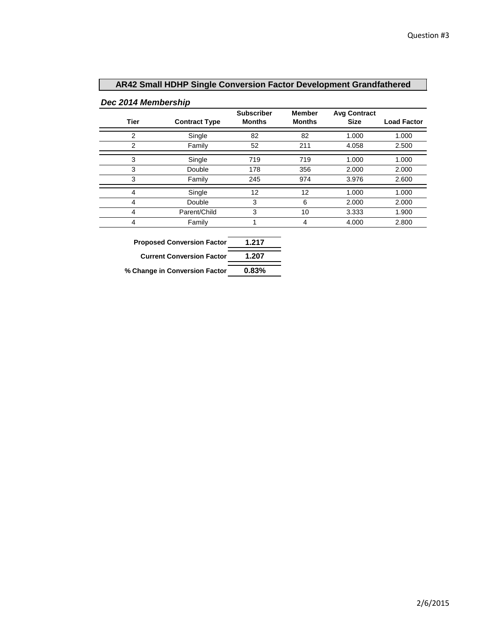## **AR42 Small HDHP Single Conversion Factor Development Grandfathered**

## *Dec 2014 Membership*

| Tier           | <b>Contract Type</b> | <b>Subscriber</b><br><b>Months</b> | <b>Member</b><br><b>Months</b> | <b>Avg Contract</b><br><b>Size</b> | <b>Load Factor</b> |
|----------------|----------------------|------------------------------------|--------------------------------|------------------------------------|--------------------|
| $\overline{2}$ | Single               | 82                                 | 82                             | 1.000                              | 1.000              |
| $\overline{2}$ | Family               | 52                                 | 211                            | 4.058                              | 2.500              |
| 3              | Single               | 719                                | 719                            | 1.000                              | 1.000              |
| 3              | Double               | 178                                | 356                            | 2.000                              | 2.000              |
| 3              | Family               | 245                                | 974                            | 3.976                              | 2.600              |
| 4              | Single               | 12                                 | 12                             | 1.000                              | 1.000              |
| 4              | Double               | 3                                  | 6                              | 2.000                              | 2.000              |
| 4              | Parent/Child         | 3                                  | 10                             | 3.333                              | 1.900              |
| 4              | Family               | 1                                  | 4                              | 4.000                              | 2.800              |
|                |                      |                                    |                                |                                    |                    |

| <b>Proposed Conversion Factor</b> | 1.217  |
|-----------------------------------|--------|
| <b>Current Conversion Factor</b>  | 1.207  |
| / Ohanas in Canususian Fastar     | n ooo/ |

**% Change in Conversion Factor 0.83%**